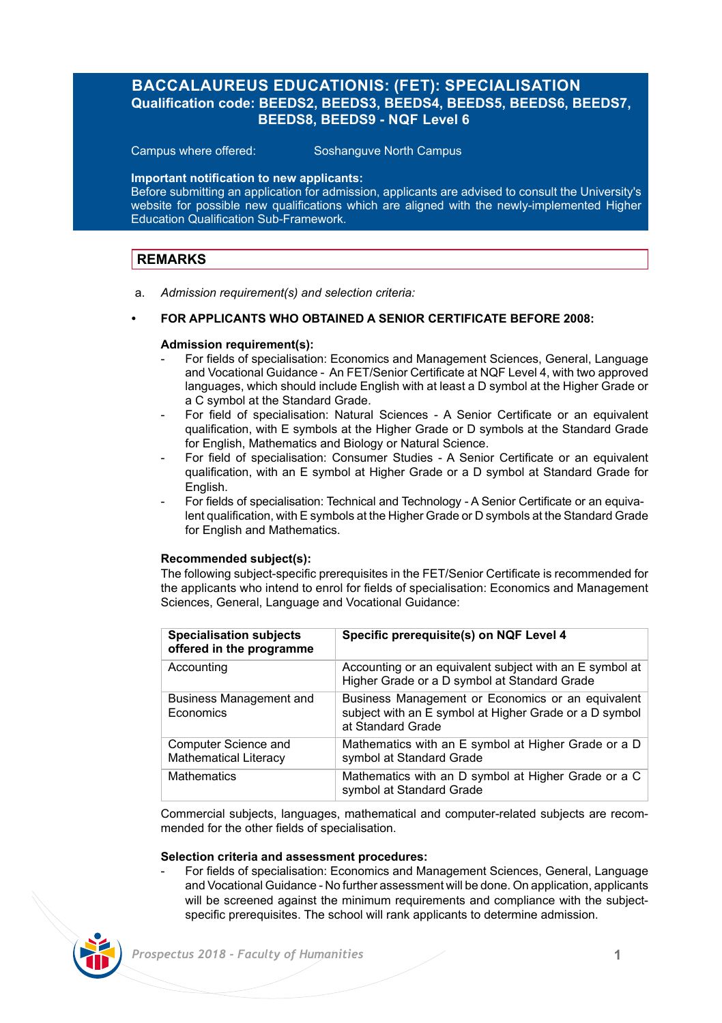# **BACCALAUREUS EDUCATIONIS: (FET): SPECIALISATION Qualification code: BEEDS2, BEEDS3, BEEDS4, BEEDS5, BEEDS6, BEEDS7, BEEDS8, BEEDS9 - NQF Level 6**

Campus where offered: Soshanguve North Campus

### **Important notification to new applicants:**

Before submitting an application for admission, applicants are advised to consult the University's website for possible new qualifications which are aligned with the newly-implemented Higher Education Qualification Sub-Framework.

## **REMARKS**

a. *Admission requirement(s) and selection criteria:*

## **• FOR APPLICANTS WHO OBTAINED A SENIOR CERTIFICATE BEFORE 2008:**

### **Admission requirement(s):**

- For fields of specialisation: Economics and Management Sciences, General, Language and Vocational Guidance - An FET/Senior Certificate at NQF Level 4, with two approved languages, which should include English with at least a D symbol at the Higher Grade or a C symbol at the Standard Grade.
- For field of specialisation: Natural Sciences A Senior Certificate or an equivalent qualification, with E symbols at the Higher Grade or D symbols at the Standard Grade for English, Mathematics and Biology or Natural Science.
- For field of specialisation: Consumer Studies A Senior Certificate or an equivalent qualification, with an E symbol at Higher Grade or a D symbol at Standard Grade for English.
- For fields of specialisation: Technical and Technology A Senior Certificate or an equivalent qualification, with E symbols at the Higher Grade or D symbols at the Standard Grade for English and Mathematics.

### **Recommended subject(s):**

The following subject-specific prerequisites in the FET/Senior Certificate is recommended for the applicants who intend to enrol for fields of specialisation: Economics and Management Sciences, General, Language and Vocational Guidance:

| <b>Specialisation subjects</b><br>offered in the programme | Specific prerequisite(s) on NQF Level 4                                                                                          |
|------------------------------------------------------------|----------------------------------------------------------------------------------------------------------------------------------|
| Accounting                                                 | Accounting or an equivalent subject with an E symbol at<br>Higher Grade or a D symbol at Standard Grade                          |
| Business Management and<br>Economics                       | Business Management or Economics or an equivalent<br>subject with an E symbol at Higher Grade or a D symbol<br>at Standard Grade |
| Computer Science and<br><b>Mathematical Literacy</b>       | Mathematics with an E symbol at Higher Grade or a D<br>symbol at Standard Grade                                                  |
| <b>Mathematics</b>                                         | Mathematics with an D symbol at Higher Grade or a C<br>symbol at Standard Grade                                                  |

Commercial subjects, languages, mathematical and computer-related subjects are recommended for the other fields of specialisation.

### **Selection criteria and assessment procedures:**

- For fields of specialisation: Economics and Management Sciences, General, Language and Vocational Guidance - No further assessment will be done. On application, applicants will be screened against the minimum requirements and compliance with the subjectspecific prerequisites. The school will rank applicants to determine admission.

![](_page_0_Picture_18.jpeg)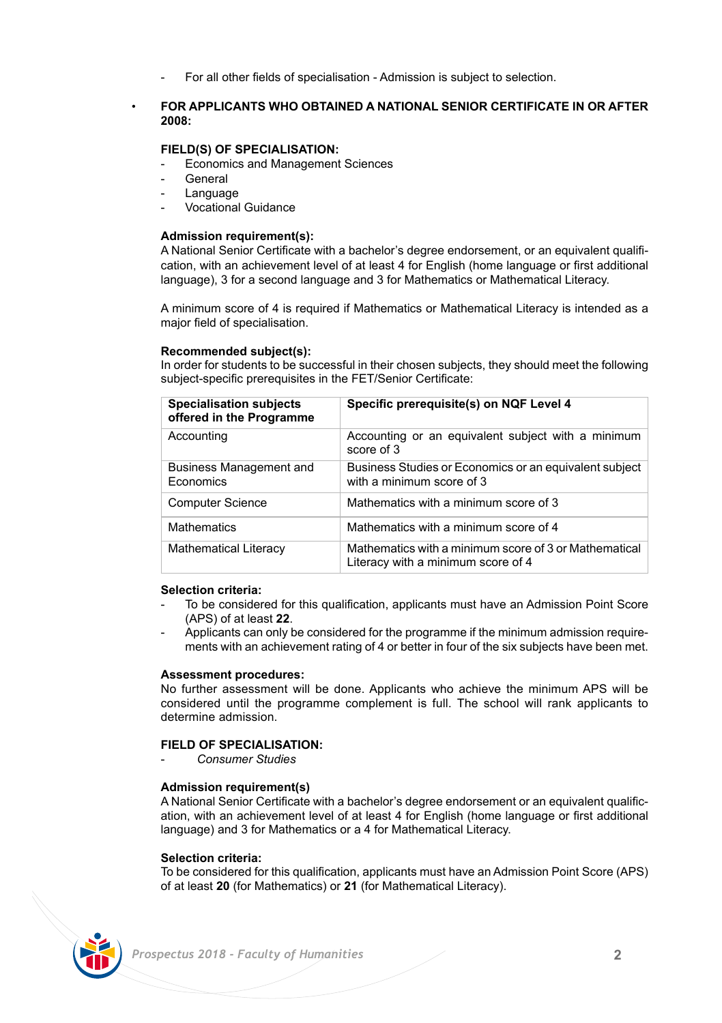- For all other fields of specialisation - Admission is subject to selection.

### • **FOR APPLICANTS WHO OBTAINED A NATIONAL SENIOR CERTIFICATE IN OR AFTER 2008:**

## **FIELD(S) OF SPECIALISATION:**

- **Economics and Management Sciences**
- **General**
- **Language**
- Vocational Guidance

### **Admission requirement(s):**

A National Senior Certificate with a bachelor's degree endorsement, or an equivalent qualification, with an achievement level of at least 4 for English (home language or first additional language), 3 for a second language and 3 for Mathematics or Mathematical Literacy.

A minimum score of 4 is required if Mathematics or Mathematical Literacy is intended as a major field of specialisation.

### **Recommended subject(s):**

In order for students to be successful in their chosen subjects, they should meet the following subject-specific prerequisites in the FET/Senior Certificate:

| <b>Specialisation subjects</b><br>offered in the Programme | Specific prerequisite(s) on NQF Level 4                                                     |
|------------------------------------------------------------|---------------------------------------------------------------------------------------------|
| Accounting                                                 | Accounting or an equivalent subject with a minimum<br>score of 3                            |
| Business Management and<br>Economics                       | Business Studies or Economics or an equivalent subject<br>with a minimum score of 3         |
| <b>Computer Science</b>                                    | Mathematics with a minimum score of 3                                                       |
| <b>Mathematics</b>                                         | Mathematics with a minimum score of 4                                                       |
| <b>Mathematical Literacy</b>                               | Mathematics with a minimum score of 3 or Mathematical<br>Literacy with a minimum score of 4 |

### **Selection criteria:**

- To be considered for this qualification, applicants must have an Admission Point Score (APS) of at least **22**.
- Applicants can only be considered for the programme if the minimum admission requirements with an achievement rating of 4 or better in four of the six subjects have been met.

### **Assessment procedures:**

No further assessment will be done. Applicants who achieve the minimum APS will be considered until the programme complement is full. The school will rank applicants to determine admission.

## **FIELD OF SPECIALISATION:**

- *Consumer Studies*

### **Admission requirement(s)**

A National Senior Certificate with a bachelor's degree endorsement or an equivalent qualification, with an achievement level of at least 4 for English (home language or first additional language) and 3 for Mathematics or a 4 for Mathematical Literacy.

### **Selection criteria:**

To be considered for this qualification, applicants must have an Admission Point Score (APS) of at least **20** (for Mathematics) or **21** (for Mathematical Literacy).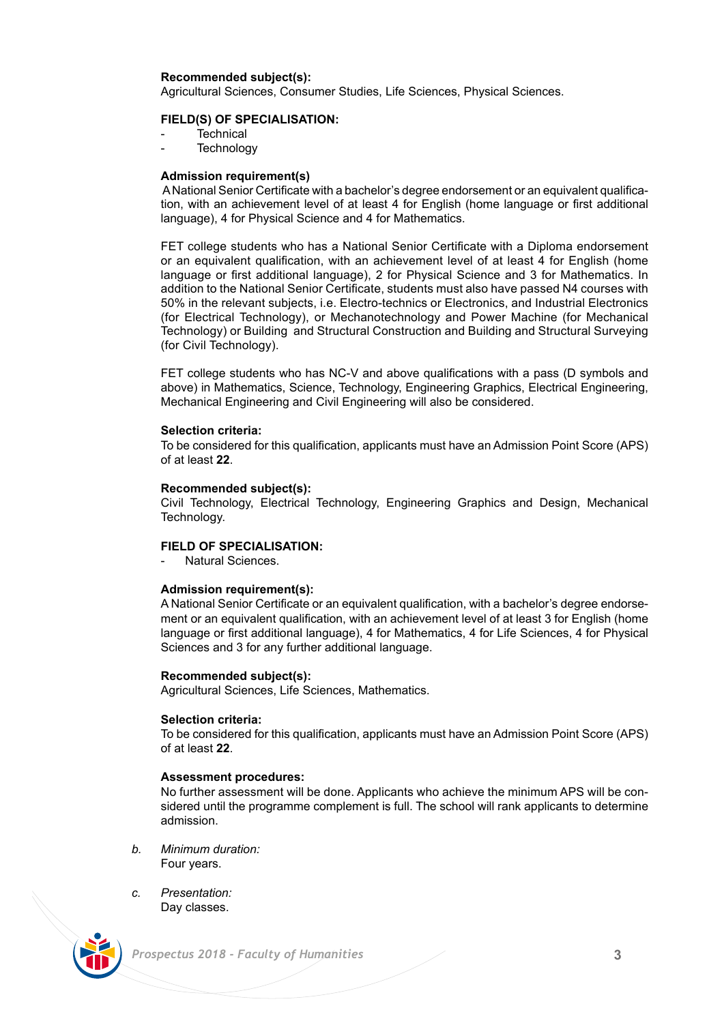### **Recommended subject(s):**

Agricultural Sciences, Consumer Studies, Life Sciences, Physical Sciences.

### **FIELD(S) OF SPECIALISATION:**

- **Technical**
- **Technology**

### **Admission requirement(s)**

 A National Senior Certificate with a bachelor's degree endorsement or an equivalent qualification, with an achievement level of at least 4 for English (home language or first additional language), 4 for Physical Science and 4 for Mathematics.

FET college students who has a National Senior Certificate with a Diploma endorsement or an equivalent qualification, with an achievement level of at least 4 for English (home language or first additional language), 2 for Physical Science and 3 for Mathematics. In addition to the National Senior Certificate, students must also have passed N4 courses with 50% in the relevant subjects, i.e. Electro-technics or Electronics, and Industrial Electronics (for Electrical Technology), or Mechanotechnology and Power Machine (for Mechanical Technology) or Building and Structural Construction and Building and Structural Surveying (for Civil Technology).

FET college students who has NC-V and above qualifications with a pass (D symbols and above) in Mathematics, Science, Technology, Engineering Graphics, Electrical Engineering, Mechanical Engineering and Civil Engineering will also be considered.

### **Selection criteria:**

To be considered for this qualification, applicants must have an Admission Point Score (APS) of at least **22**.

### **Recommended subject(s):**

Civil Technology, Electrical Technology, Engineering Graphics and Design, Mechanical Technology.

## **FIELD OF SPECIALISATION:**

Natural Sciences

### **Admission requirement(s):**

A National Senior Certificate or an equivalent qualification, with a bachelor's degree endorsement or an equivalent qualification, with an achievement level of at least 3 for English (home language or first additional language), 4 for Mathematics, 4 for Life Sciences, 4 for Physical Sciences and 3 for any further additional language.

### **Recommended subject(s):**

Agricultural Sciences, Life Sciences, Mathematics.

### **Selection criteria:**

To be considered for this qualification, applicants must have an Admission Point Score (APS) of at least **22**.

### **Assessment procedures:**

No further assessment will be done. Applicants who achieve the minimum APS will be considered until the programme complement is full. The school will rank applicants to determine admission.

- *b. Minimum duration:* Four years.
- *c. Presentation:*  Day classes.

![](_page_2_Picture_25.jpeg)

 *Prospectus 2018 - Faculty of Humanities* **3**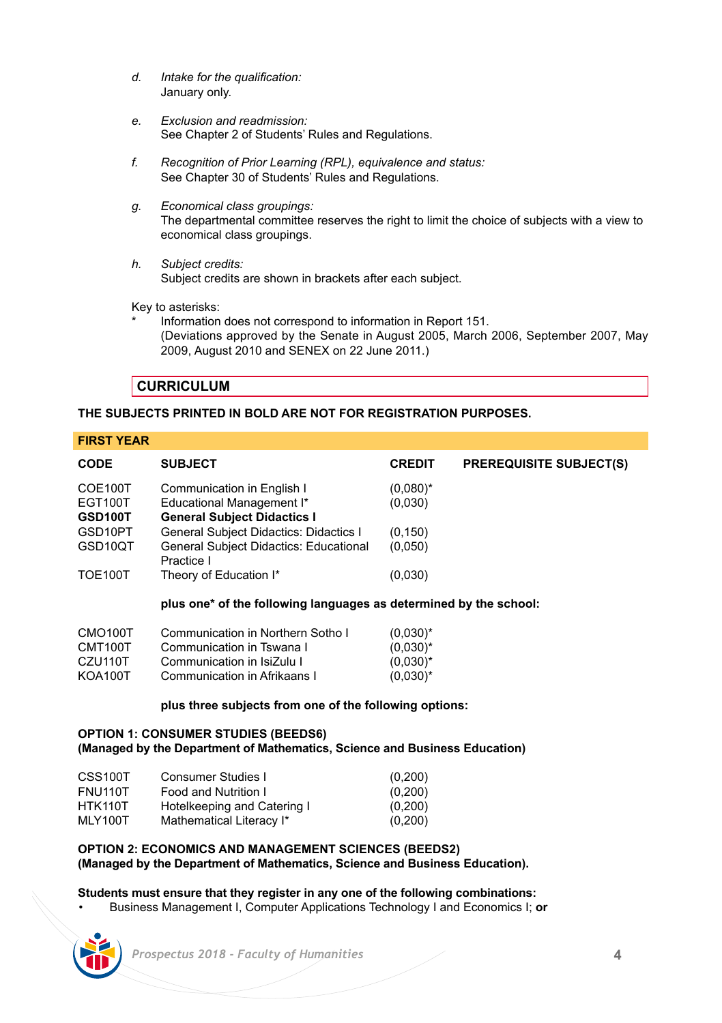- *d. Intake for the qualification:* January only.
- *e. Exclusion and readmission:* See Chapter 2 of Students' Rules and Regulations.
- *f. Recognition of Prior Learning (RPL), equivalence and status:* See Chapter 30 of Students' Rules and Regulations.
- *g. Economical class groupings:* The departmental committee reserves the right to limit the choice of subjects with a view to economical class groupings.
- *h. Subject credits:* Subject credits are shown in brackets after each subject.

Key to asterisks:

Information does not correspond to information in Report 151. (Deviations approved by the Senate in August 2005, March 2006, September 2007, May 2009, August 2010 and SENEX on 22 June 2011.)

## **CURRICULUM**

## **THE SUBJECTS PRINTED IN BOLD ARE NOT FOR REGISTRATION PURPOSES.**

**FIRST YEAR**

| <b>CODE</b>    | <b>SUBJECT</b>                                       | <b>CREDIT</b> | <b>PREREQUISITE SUBJECT(S)</b> |
|----------------|------------------------------------------------------|---------------|--------------------------------|
| COE100T        | Communication in English I                           | $(0,080)^*$   |                                |
| EGT100T        | Educational Management I*                            | (0,030)       |                                |
| GSD100T        | <b>General Subject Didactics I</b>                   |               |                                |
| GSD10PT        | General Subject Didactics: Didactics I               | (0, 150)      |                                |
| GSD10QT        | General Subject Didactics: Educational<br>Practice I | (0,050)       |                                |
| <b>TOE100T</b> | Theory of Education I*                               | (0,030)       |                                |
|                |                                                      |               |                                |

**plus one\* of the following languages as determined by the school:**

| CMO <sub>100</sub> T | Communication in Northern Sotho I | $(0.030)^*$ |
|----------------------|-----------------------------------|-------------|
| CMT100T              | Communication in Tswana I         | $(0.030)^*$ |
| CZU110T              | Communication in IsiZulu I        | $(0.030)^*$ |
| KOA100T              | Communication in Afrikaans I      | $(0.030)^*$ |

## **plus three subjects from one of the following options:**

## **OPTION 1: CONSUMER STUDIES (BEEDS6) (Managed by the Department of Mathematics, Science and Business Education)**

| CSS100T | Consumer Studies I          | (0,200) |
|---------|-----------------------------|---------|
| FNU110T | Food and Nutrition I        | (0,200) |
| HTK110T | Hotelkeeping and Catering I | (0,200) |
| MLY100T | Mathematical Literacy I*    | (0,200) |

## **OPTION 2: ECONOMICS AND MANAGEMENT SCIENCES (BEEDS2) (Managed by the Department of Mathematics, Science and Business Education).**

## **Students must ensure that they register in any one of the following combinations:**

• Business Management I, Computer Applications Technology I and Economics I; **or**

| Prospectus 2018 - Faculty of Humanities |  |  |
|-----------------------------------------|--|--|
|                                         |  |  |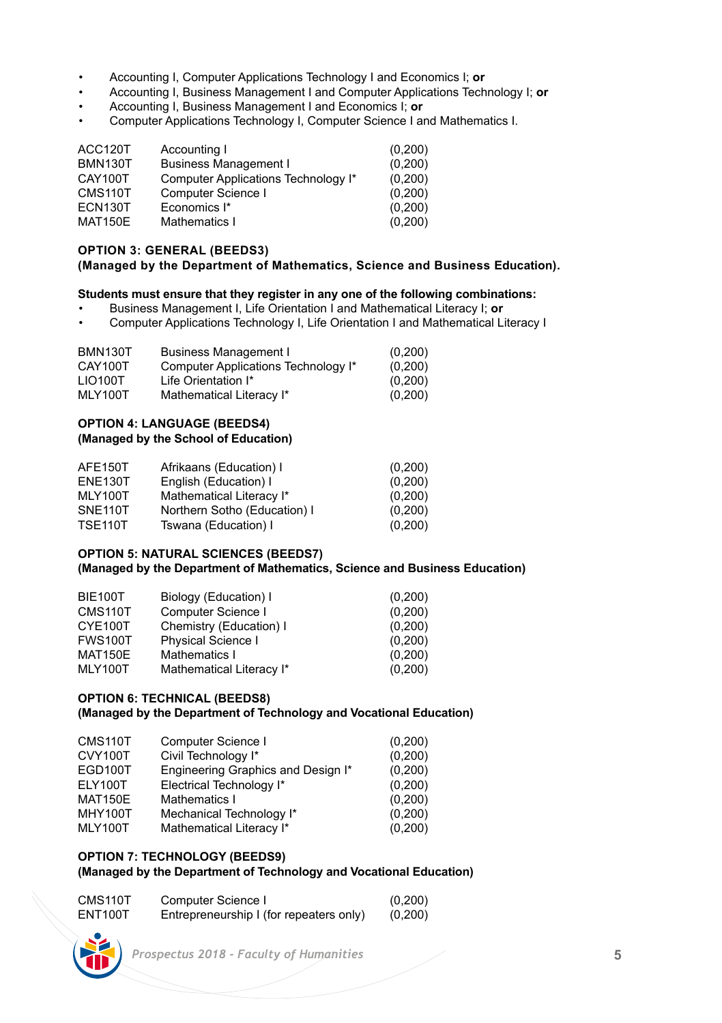- Accounting I, Computer Applications Technology I and Economics I; **or**
- Accounting I, Business Management I and Computer Applications Technology I; **or**
- Accounting I, Business Management I and Economics I; **or**
- Computer Applications Technology I, Computer Science I and Mathematics I.

| Accounting I                        | (0, 200) |
|-------------------------------------|----------|
| <b>Business Management I</b>        | (0, 200) |
| Computer Applications Technology I* | (0, 200) |
| Computer Science I                  | (0, 200) |
| Economics I*                        | (0, 200) |
| Mathematics I                       | (0, 200) |
|                                     |          |

## **OPTION 3: GENERAL (BEEDS3)**

## **(Managed by the Department of Mathematics, Science and Business Education).**

## **Students must ensure that they register in any one of the following combinations:**

- Business Management I, Life Orientation I and Mathematical Literacy I; **or**
- Computer Applications Technology I, Life Orientation I and Mathematical Literacy I

| <b>BMN130T</b> | <b>Business Management I</b>        | (0,200)  |
|----------------|-------------------------------------|----------|
| CAY100T        | Computer Applications Technology I* | (0, 200) |
| LIO100T        | Life Orientation I*                 | (0,200)  |
| MLY100T        | Mathematical Literacy I*            | (0,200)  |

## **OPTION 4: LANGUAGE (BEEDS4)**

### **(Managed by the School of Education)**

| AFE150T        | Afrikaans (Education) I      | (0,200) |
|----------------|------------------------------|---------|
| <b>ENE130T</b> | English (Education) I        | (0,200) |
| MLY100T        | Mathematical Literacy I*     | (0,200) |
| SNE110T        | Northern Sotho (Education) I | (0,200) |
| <b>TSE110T</b> | Tswana (Education) I         | (0,200) |

## **OPTION 5: NATURAL SCIENCES (BEEDS7)**

## **(Managed by the Department of Mathematics, Science and Business Education)**

| <b>BIE100T</b> | Biology (Education) I     | (0, 200) |
|----------------|---------------------------|----------|
| CMS110T        | Computer Science I        | (0, 200) |
| CYE100T        | Chemistry (Education) I   | (0,200)  |
| <b>FWS100T</b> | <b>Physical Science I</b> | (0,200)  |
| <b>MAT150E</b> | Mathematics I             | (0,200)  |
| <b>MLY100T</b> | Mathematical Literacy I*  | (0, 200) |

## **OPTION 6: TECHNICAL (BEEDS8)**

## **(Managed by the Department of Technology and Vocational Education)**

| CMS110T        | Computer Science I                 | (0,200)  |
|----------------|------------------------------------|----------|
| CVY100T        | Civil Technology I*                | (0,200)  |
| EGD100T        | Engineering Graphics and Design I* | (0,200)  |
| ELY100T        | Electrical Technology I*           | (0,200)  |
| <b>MAT150E</b> | Mathematics I                      | (0,200)  |
| <b>MHY100T</b> | Mechanical Technology I*           | (0,200)  |
| MLY100T        | Mathematical Literacy I*           | (0, 200) |

## **OPTION 7: TECHNOLOGY (BEEDS9)**

## **(Managed by the Department of Technology and Vocational Education)**

| CMS <sub>110</sub> T | Computer Science I                      | (0,200) |
|----------------------|-----------------------------------------|---------|
| ENT100T              | Entrepreneurship I (for repeaters only) | (0,200) |

![](_page_4_Picture_23.jpeg)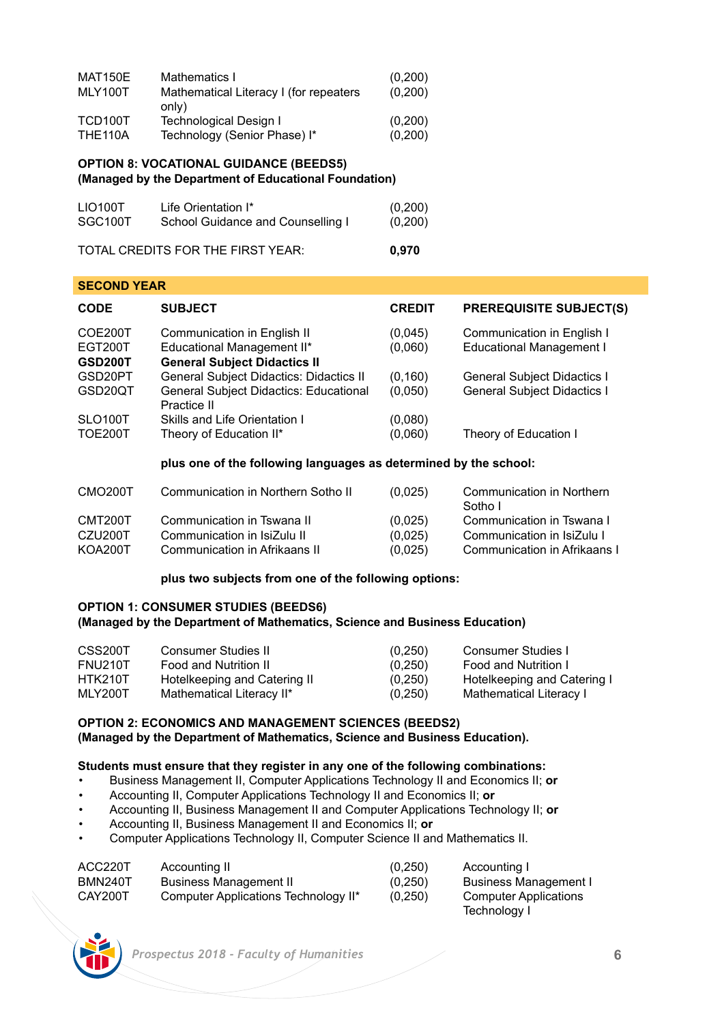| <b>MAT150E</b> | Mathematics I                                   | (0, 200) |
|----------------|-------------------------------------------------|----------|
| MLY100T        | Mathematical Literacy I (for repeaters<br>only) | (0, 200) |
| TCD100T        | Technological Design I                          | (0, 200) |
| <b>THE110A</b> | Technology (Senior Phase) I*                    | (0, 200) |

### **OPTION 8: VOCATIONAL GUIDANCE (BEEDS5) (Managed by the Department of Educational Foundation)**

| LIO100T | Life Orientation I*               | (0, 200) |
|---------|-----------------------------------|----------|
| SGC100T | School Guidance and Counselling I | (0, 200) |
|         | TOTAL CREDITS FOR THE FIRST YEAR: | 0.970    |

### **SECOND YEAR**

| <b>CODE</b>                                 | <b>SUBJECT</b>                                                                                   | <b>CREDIT</b>       | <b>PREREQUISITE SUBJECT(S)</b>                                           |
|---------------------------------------------|--------------------------------------------------------------------------------------------------|---------------------|--------------------------------------------------------------------------|
| COE200T<br><b>EGT200T</b><br><b>GSD200T</b> | Communication in English II<br>Educational Management II*<br><b>General Subject Didactics II</b> | (0,045)<br>(0,060)  | Communication in English I<br><b>Educational Management I</b>            |
| GSD20PT<br>GSD20QT                          | General Subject Didactics: Didactics II<br>General Subject Didactics: Educational<br>Practice II | (0, 160)<br>(0,050) | <b>General Subject Didactics I</b><br><b>General Subject Didactics I</b> |
| SLO100T<br><b>TOE200T</b>                   | Skills and Life Orientation I<br>Theory of Education II*                                         | (0.080)<br>(0,060)  | Theory of Education I                                                    |

### **plus one of the following languages as determined by the school:**

| CMO <sub>200</sub> T | Communication in Northern Sotho II | (0,025) | Communication in Northern<br>Sotho I |
|----------------------|------------------------------------|---------|--------------------------------------|
| CMT <sub>200</sub> T | Communication in Tswana II         | (0,025) | Communication in Tswana I            |
| CZU200T              | Communication in IsiZulu II        | (0,025) | Communication in IsiZulu I           |
| <b>KOA200T</b>       | Communication in Afrikaans II      | (0,025) | Communication in Afrikaans I         |

## **plus two subjects from one of the following options:**

### **OPTION 1: CONSUMER STUDIES (BEEDS6) (Managed by the Department of Mathematics, Science and Business Education)**

| CSS200T | Consumer Studies II          | (0,250)  | Consumer Studies I          |
|---------|------------------------------|----------|-----------------------------|
| FNU210T | Food and Nutrition II        | (0, 250) | Food and Nutrition I        |
| HTK210T | Hotelkeeping and Catering II | (0, 250) | Hotelkeeping and Catering I |
| MLY200T | Mathematical Literacy II*    | (0,250)  | Mathematical Literacy I     |

## **OPTION 2: ECONOMICS AND MANAGEMENT SCIENCES (BEEDS2) (Managed by the Department of Mathematics, Science and Business Education).**

### **Students must ensure that they register in any one of the following combinations:**

- Business Management II, Computer Applications Technology II and Economics II; **or**
- Accounting II, Computer Applications Technology II and Economics II; **or**
- Accounting II, Business Management II and Computer Applications Technology II; **or**
- Accounting II, Business Management II and Economics II; **or**
- Computer Applications Technology II, Computer Science II and Mathematics II.

| ACC220T | Accounting II                        | (0,250) | Accounting I                 |
|---------|--------------------------------------|---------|------------------------------|
| BMN240T | <b>Business Management II</b>        | (0.250) | Business Management I        |
| CAY200T | Computer Applications Technology II* | (0,250) | <b>Computer Applications</b> |
|         |                                      |         | Technology I                 |

![](_page_5_Picture_18.jpeg)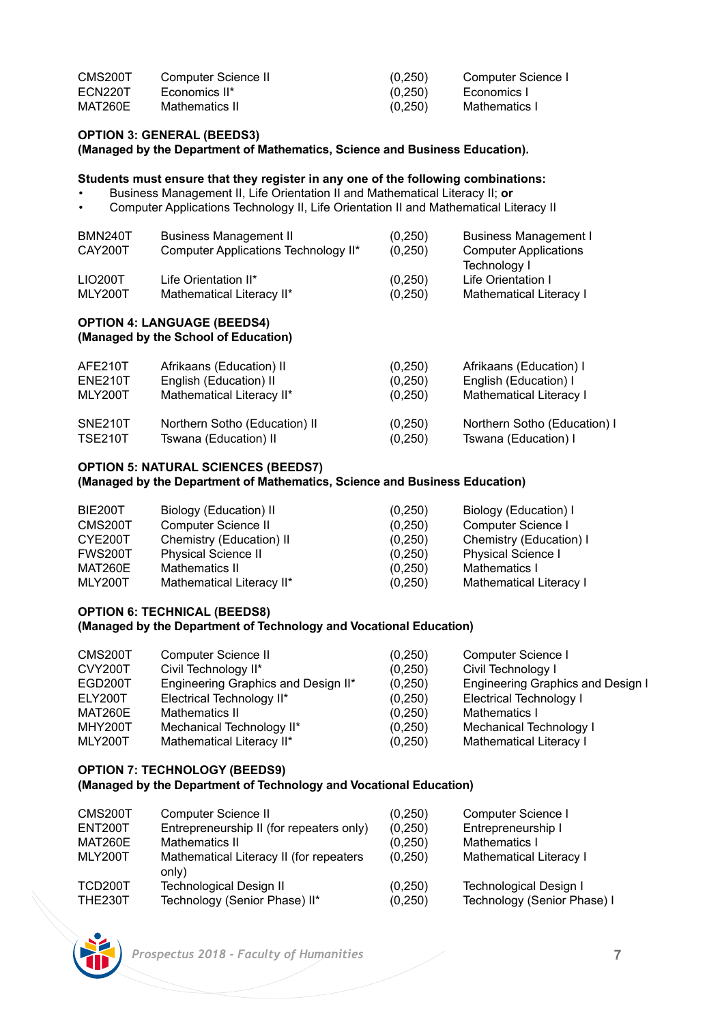| CMS200T | Computer Science II | (0,250) | Computer Science I |
|---------|---------------------|---------|--------------------|
| ECN220T | Economics II*       | (0,250) | Economics I        |
| MAT260E | Mathematics II      | (0,250) | Mathematics I      |

## **OPTION 3: GENERAL (BEEDS3)**

### **(Managed by the Department of Mathematics, Science and Business Education).**

## **Students must ensure that they register in any one of the following combinations:**

- Business Management II, Life Orientation II and Mathematical Literacy II; **or**
- Computer Applications Technology II, Life Orientation II and Mathematical Literacy II

| (0, 250)                                                                                                                   | <b>Business Management I</b> |
|----------------------------------------------------------------------------------------------------------------------------|------------------------------|
| (0,250)                                                                                                                    | <b>Computer Applications</b> |
|                                                                                                                            | Technology I                 |
| (0,250)                                                                                                                    | Life Orientation I           |
| (0,250)                                                                                                                    | Mathematical Literacy I      |
| <b>Business Management II</b><br>Computer Applications Technology II*<br>Life Orientation II*<br>Mathematical Literacy II* |                              |

## **OPTION 4: LANGUAGE (BEEDS4) (Managed by the School of Education)**

| AFE210T        | Afrikaans (Education) II      | (0, 250) | Afrikaans (Education) I      |
|----------------|-------------------------------|----------|------------------------------|
| <b>ENE210T</b> | English (Education) II        | (0.250)  | English (Education) I        |
| MLY200T        | Mathematical Literacy II*     | (0,250)  | Mathematical Literacy I      |
| SNE210T        | Northern Sotho (Education) II | (0,250)  | Northern Sotho (Education) I |
| <b>TSE210T</b> | Tswana (Education) II         | (0,250)  | Tswana (Education) I         |

## **OPTION 5: NATURAL SCIENCES (BEEDS7) (Managed by the Department of Mathematics, Science and Business Education)**

| BIE200T | Biology (Education) II     | (0,250) | Biology (Education) I     |
|---------|----------------------------|---------|---------------------------|
| CMS200T | Computer Science II        | (0.250) | Computer Science I        |
| CYE200T | Chemistry (Education) II   | (0.250) | Chemistry (Education) I   |
| FWS200T | <b>Physical Science II</b> | (0.250) | <b>Physical Science I</b> |
| MAT260E | Mathematics II             | (0,250) | Mathematics I             |
| MLY200T | Mathematical Literacy II*  | (0,250) | Mathematical Literacy I   |

# **OPTION 6: TECHNICAL (BEEDS8)**

# **(Managed by the Department of Technology and Vocational Education)**

| CMS200T        | Computer Science II                 | (0,250)  | Computer Science I                |
|----------------|-------------------------------------|----------|-----------------------------------|
| CVY200T        | Civil Technology II*                | (0,250)  | Civil Technology I                |
| EGD200T        | Engineering Graphics and Design II* | (0, 250) | Engineering Graphics and Design I |
| ELY200T        | Electrical Technology II*           | (0,250)  | <b>Electrical Technology I</b>    |
| MAT260E        | Mathematics II                      | (0,250)  | Mathematics I                     |
| <b>MHY200T</b> | Mechanical Technology II*           | (0,250)  | Mechanical Technology I           |
| MLY200T        | Mathematical Literacy II*           | (0,250)  | Mathematical Literacy I           |
|                |                                     |          |                                   |

## **OPTION 7: TECHNOLOGY (BEEDS9)**

## **(Managed by the Department of Technology and Vocational Education)**

| CMS200T                   | Computer Science II                                             | (0.250)             | Computer Science I                                    |
|---------------------------|-----------------------------------------------------------------|---------------------|-------------------------------------------------------|
| ENT200T                   | Entrepreneurship II (for repeaters only)                        | (0,250)             | Entrepreneurship I                                    |
| MAT260E                   | Mathematics II                                                  | (0.250)             | Mathematics I                                         |
| MLY200T                   | Mathematical Literacy II (for repeaters<br>only)                | (0,250)             | Mathematical Literacy I                               |
| TCD200T<br><b>THE230T</b> | <b>Technological Design II</b><br>Technology (Senior Phase) II* | (0,250)<br>(0, 250) | Technological Design I<br>Technology (Senior Phase) I |

![](_page_6_Picture_17.jpeg)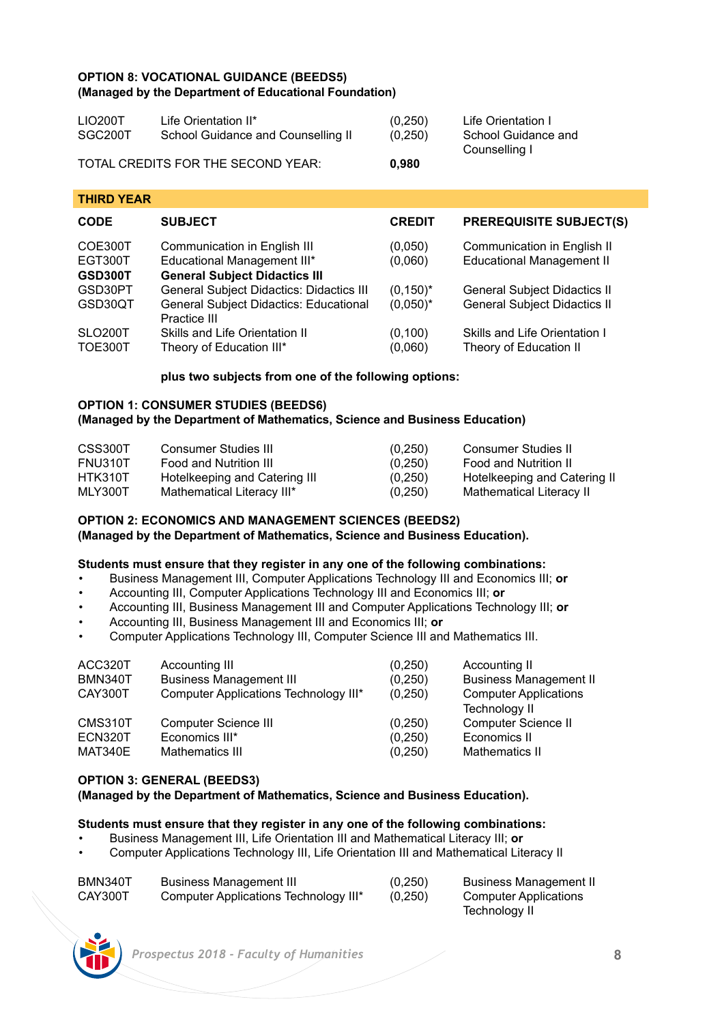## **OPTION 8: VOCATIONAL GUIDANCE (BEEDS5) (Managed by the Department of Educational Foundation)**

| LIO200T | Life Orientation II*               | (0.250) | Life Orientation I                   |
|---------|------------------------------------|---------|--------------------------------------|
| SGC200T | School Guidance and Counselling II | (0.250) | School Guidance and<br>Counselling I |
|         | TOTAL CREDITS FOR THE SECOND YEAR: | 0,980   |                                      |

## **THIRD YEAR CODE SUBJECT CREDIT PREREQUISITE SUBJECT(S)** COE300T Communication in English III (0,050) Communication in English II<br>
EGT300T Educational Management III\* (0,060) Educational Management II EGT300T Educational Management III\*<br> **GSD300T** General Subiect Didactics I **GSD300T General Subject Didactics III**<br>GSD30PT General Subject Didactics: Did GSD30PT General Subject Didactics: Didactics III (0,150)\* General Subject Didactics II<br>GSD30QT General Subject Didactics: Educational (0.050)\* General Subject Didactics II General Subject Didactics: Educational Practice III SLO200T Skills and Life Orientation II (0,100) Skills and Life Orientation I<br>TOE300T Theory of Education III\* (0.060) Theory of Education II Theory of Education III\*

## **plus two subjects from one of the following options:**

### **OPTION 1: CONSUMER STUDIES (BEEDS6) (Managed by the Department of Mathematics, Science and Business Education)**

| CSS300T | Consumer Studies III          | (0,250) | Consumer Studies II          |
|---------|-------------------------------|---------|------------------------------|
| FNU310T | Food and Nutrition III        | (0,250) | Food and Nutrition II        |
| HTK310T | Hotelkeeping and Catering III | (0,250) | Hotelkeeping and Catering II |
| MLY300T | Mathematical Literacy III*    | (0,250) | Mathematical Literacy II     |

## **OPTION 2: ECONOMICS AND MANAGEMENT SCIENCES (BEEDS2) (Managed by the Department of Mathematics, Science and Business Education).**

## **Students must ensure that they register in any one of the following combinations:**

- Business Management III, Computer Applications Technology III and Economics III; **or**
- Accounting III, Computer Applications Technology III and Economics III; **or**
- Accounting III, Business Management III and Computer Applications Technology III; **or**
- Accounting III, Business Management III and Economics III; **or**
- Computer Applications Technology III, Computer Science III and Mathematics III.

| ACC320T<br>BMN340T | Accounting III<br><b>Business Management III</b> | (0,250)<br>(0, 250) | Accounting II<br><b>Business Management II</b> |
|--------------------|--------------------------------------------------|---------------------|------------------------------------------------|
| CAY300T            | Computer Applications Technology III*            | (0,250)             | <b>Computer Applications</b><br>Technology II  |
| CMS310T            | Computer Science III                             | (0, 250)            | Computer Science II                            |
| ECN320T            | Economics III*                                   | (0, 250)            | Economics II                                   |
| MAT340E            | Mathematics III                                  | (0, 250)            | Mathematics II                                 |

## **OPTION 3: GENERAL (BEEDS3)**

**(Managed by the Department of Mathematics, Science and Business Education).** 

## **Students must ensure that they register in any one of the following combinations:**

- Business Management III, Life Orientation III and Mathematical Literacy III; **or**
- Computer Applications Technology III, Life Orientation III and Mathematical Literacy II

| BMN340T | <b>Business Management III</b>        | (0,250)  | <b>Business Management II</b> |
|---------|---------------------------------------|----------|-------------------------------|
| CAY300T | Computer Applications Technology III* | (0, 250) | <b>Computer Applications</b>  |
|         |                                       |          | Technology II                 |

![](_page_7_Picture_20.jpeg)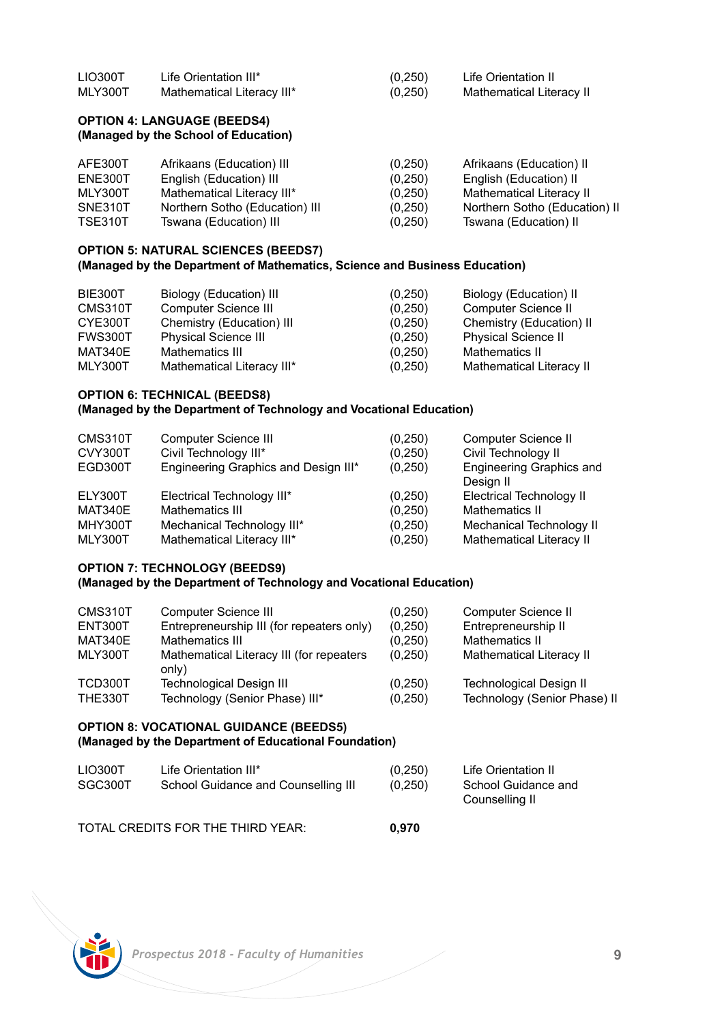| LIO300T | Life Orientation III*      | (0, 250) | Life Orientation II      |
|---------|----------------------------|----------|--------------------------|
| MLY300T | Mathematical Literacy III* | (0,250)  | Mathematical Literacy II |

## **OPTION 4: LANGUAGE (BEEDS4) (Managed by the School of Education)**

| AFE300T        | Afrikaans (Education) III      | (0, 250) | Afrikaans (Education) II      |
|----------------|--------------------------------|----------|-------------------------------|
| ENE300T        | English (Education) III        | (0.250)  | English (Education) II        |
| MLY300T        | Mathematical Literacy III*     | (0, 250) | Mathematical Literacy II      |
| SNE310T        | Northern Sotho (Education) III | (0.250)  | Northern Sotho (Education) II |
| <b>TSE310T</b> | Tswana (Education) III         | (0, 250) | Tswana (Education) II         |

## **OPTION 5: NATURAL SCIENCES (BEEDS7) (Managed by the Department of Mathematics, Science and Business Education)**

| BIE300T        | Biology (Education) III     | (0,250)  | Biology (Education) II     |
|----------------|-----------------------------|----------|----------------------------|
| CMS310T        | Computer Science III        | (0, 250) | Computer Science II        |
| CYE300T        | Chemistry (Education) III   | (0, 250) | Chemistry (Education) II   |
| <b>FWS300T</b> | <b>Physical Science III</b> | (0,250)  | <b>Physical Science II</b> |
| MAT340E        | Mathematics III             | (0,250)  | Mathematics II             |
| MLY300T        | Mathematical Literacy III*  | (0,250)  | Mathematical Literacy II   |

## **OPTION 6: TECHNICAL (BEEDS8)**

## **(Managed by the Department of Technology and Vocational Education)**

| CMS310T | Computer Science III                 | (0, 250) | Computer Science II                   |
|---------|--------------------------------------|----------|---------------------------------------|
| CVY300T | Civil Technology III*                | (0, 250) | Civil Technology II                   |
| EGD300T | Engineering Graphics and Design III* | (0, 250) | Engineering Graphics and<br>Design II |
| ELY300T | Electrical Technology III*           | (0, 250) | Electrical Technology II              |
| MAT340E | Mathematics III                      | (0.250)  | Mathematics II                        |
| MHY300T | Mechanical Technology III*           | (0, 250) | Mechanical Technology II              |
| MLY300T | Mathematical Literacy III*           | (0, 250) | Mathematical Literacy II              |

## **OPTION 7: TECHNOLOGY (BEEDS9)**

## **(Managed by the Department of Technology and Vocational Education)**

| CMS310T        | Computer Science III                              | (0, 250) | Computer Science II            |
|----------------|---------------------------------------------------|----------|--------------------------------|
| ENT300T        | Entrepreneurship III (for repeaters only)         | (0,250)  | Entrepreneurship II            |
| MAT340E        | Mathematics III                                   | (0, 250) | Mathematics II                 |
| MLY300T        | Mathematical Literacy III (for repeaters<br>only) | (0,250)  | Mathematical Literacy II       |
| TCD300T        | <b>Technological Design III</b>                   | (0, 250) | <b>Technological Design II</b> |
| <b>THE330T</b> | Technology (Senior Phase) III*                    | (0,250)  | Technology (Senior Phase) II   |

## **OPTION 8: VOCATIONAL GUIDANCE (BEEDS5) (Managed by the Department of Educational Foundation)**

| LIO300T<br>SGC300T | Life Orientation III*<br>School Guidance and Counselling III | (0.250)<br>(0.250) | Life Orientation II<br>School Guidance and<br>Counselling II |
|--------------------|--------------------------------------------------------------|--------------------|--------------------------------------------------------------|
|                    | TOTAL CREDITS FOR THE THIRD YEAR:                            | 0.970              |                                                              |

![](_page_8_Picture_13.jpeg)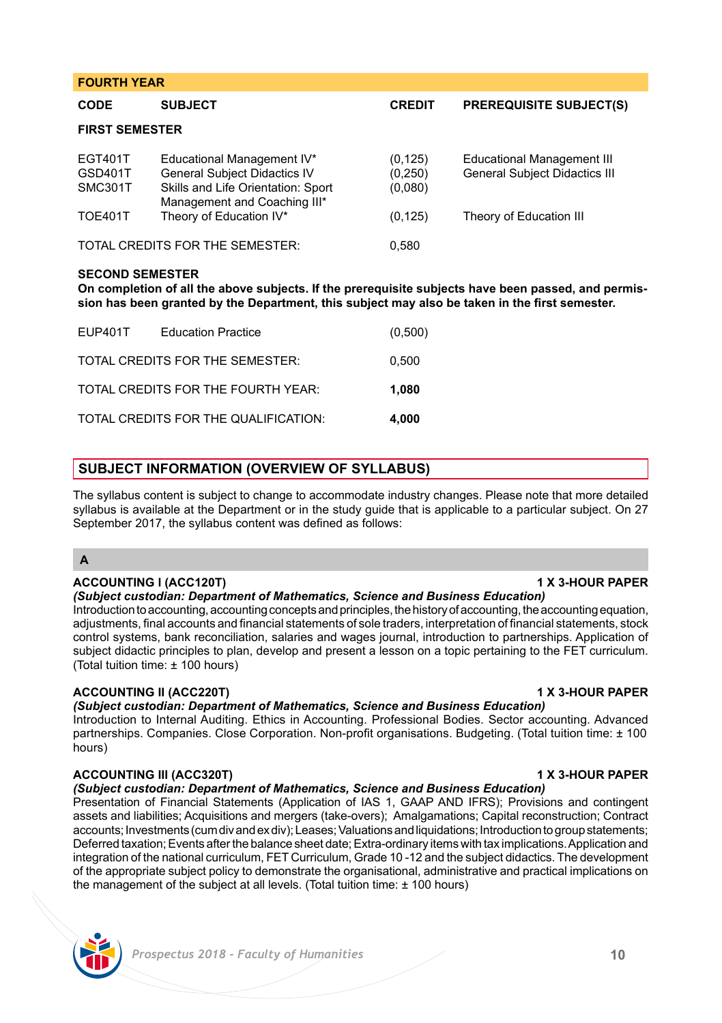| <b>FOURTH YEAR</b>                       |                                                                                                                                         |                                 |                                                                           |  |
|------------------------------------------|-----------------------------------------------------------------------------------------------------------------------------------------|---------------------------------|---------------------------------------------------------------------------|--|
| <b>CODE</b>                              | <b>SUBJECT</b>                                                                                                                          | <b>CREDIT</b>                   | <b>PREREQUISITE SUBJECT(S)</b>                                            |  |
| <b>FIRST SEMESTER</b>                    |                                                                                                                                         |                                 |                                                                           |  |
| <b>EGT401T</b><br>GSD401T<br>SMC301T     | Educational Management IV*<br><b>General Subject Didactics IV</b><br>Skills and Life Orientation: Sport<br>Management and Coaching III* | (0, 125)<br>(0, 250)<br>(0,080) | <b>Educational Management III</b><br><b>General Subject Didactics III</b> |  |
| <b>TOE401T</b>                           | Theory of Education IV*                                                                                                                 | (0, 125)                        | Theory of Education III                                                   |  |
| TOTAL CREDITS FOR THE SEMESTER:<br>0,580 |                                                                                                                                         |                                 |                                                                           |  |

### **SECOND SEMESTER**

**On completion of all the above subjects. If the prerequisite subjects have been passed, and permission has been granted by the Department, this subject may also be taken in the first semester.** 

| EUP401T | <b>Education Practice</b>            | (0,500) |
|---------|--------------------------------------|---------|
|         | TOTAL CREDITS FOR THE SEMESTER:      | 0.500   |
|         | TOTAL CREDITS FOR THE FOURTH YEAR:   | 1.080   |
|         | TOTAL CREDITS FOR THE QUALIFICATION: | 4.000   |

## **SUBJECT INFORMATION (OVERVIEW OF SYLLABUS)**

The syllabus content is subject to change to accommodate industry changes. Please note that more detailed syllabus is available at the Department or in the study guide that is applicable to a particular subject. On 27 September 2017, the syllabus content was defined as follows:

## **A**

## **ACCOUNTING l (ACC120T) 1 X 3-HOUR PAPER**

## *(Subject custodian: Department of Mathematics, Science and Business Education)*

Introduction to accounting, accounting concepts and principles, the history of accounting, the accounting equation, adjustments, final accounts and financial statements of sole traders, interpretation of financial statements, stock control systems, bank reconciliation, salaries and wages journal, introduction to partnerships. Application of subject didactic principles to plan, develop and present a lesson on a topic pertaining to the FET curriculum. (Total tuition time: ± 100 hours)

## **ACCOUNTING II (ACC220T) 1 X 3-HOUR PAPER**

*(Subject custodian: Department of Mathematics, Science and Business Education)* 

Introduction to Internal Auditing. Ethics in Accounting. Professional Bodies. Sector accounting. Advanced partnerships. Companies. Close Corporation. Non-profit organisations. Budgeting. (Total tuition time: ± 100 hours)

## **ACCOUNTING III (ACC320T) 1 X 3-HOUR PAPER**

*(Subject custodian: Department of Mathematics, Science and Business Education)* 

Presentation of Financial Statements (Application of IAS 1, GAAP AND IFRS); Provisions and contingent assets and liabilities; Acquisitions and mergers (take-overs); Amalgamations; Capital reconstruction; Contract accounts; Investments (cum div and ex div); Leases; Valuations and liquidations; Introduction to group statements; Deferred taxation; Events after the balance sheet date; Extra-ordinary items with tax implications. Application and integration of the national curriculum, FET Curriculum, Grade 10 -12 and the subject didactics. The development of the appropriate subject policy to demonstrate the organisational, administrative and practical implications on the management of the subject at all levels. (Total tuition time: ± 100 hours)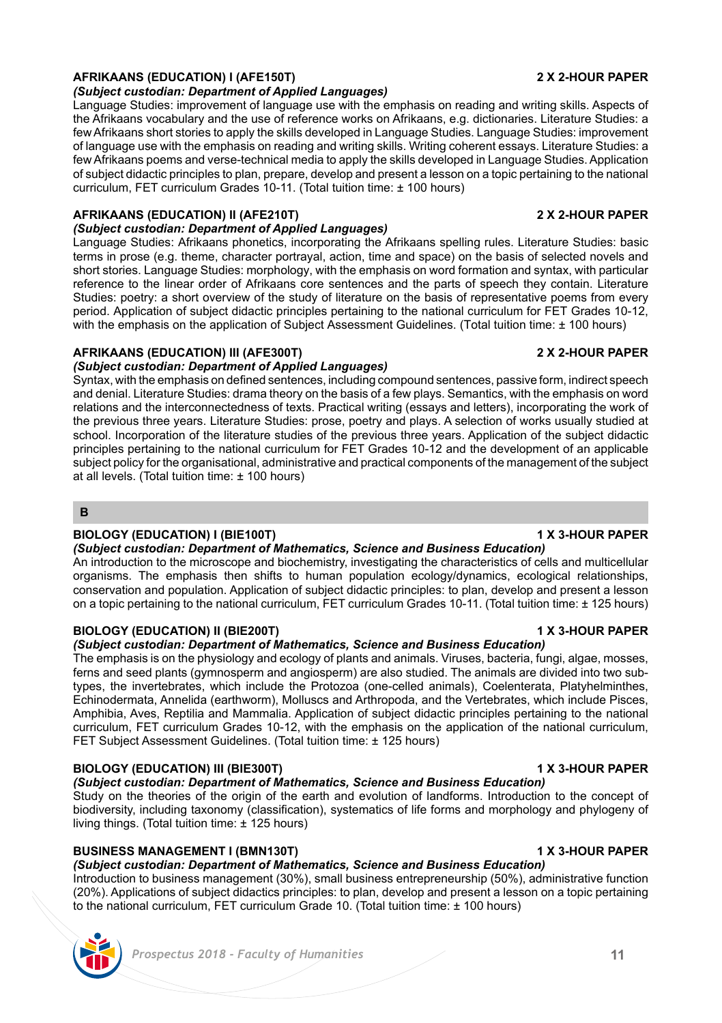### **AFRIKAANS (EDUCATION) I (AFE150T) 2 X 2-HOUR PAPER** *(Subject custodian: Department of Applied Languages)*

Language Studies: improvement of language use with the emphasis on reading and writing skills. Aspects of the Afrikaans vocabulary and the use of reference works on Afrikaans, e.g. dictionaries. Literature Studies: a few Afrikaans short stories to apply the skills developed in Language Studies. Language Studies: improvement of language use with the emphasis on reading and writing skills. Writing coherent essays. Literature Studies: a few Afrikaans poems and verse-technical media to apply the skills developed in Language Studies. Application of subject didactic principles to plan, prepare, develop and present a lesson on a topic pertaining to the national curriculum, FET curriculum Grades 10-11. (Total tuition time: ± 100 hours)

# **AFRIKAANS (EDUCATION) II (AFE210T) 2 X 2-HOUR PAPER**

# *(Subject custodian: Department of Applied Languages)*

Language Studies: Afrikaans phonetics, incorporating the Afrikaans spelling rules. Literature Studies: basic terms in prose (e.g. theme, character portrayal, action, time and space) on the basis of selected novels and short stories. Language Studies: morphology, with the emphasis on word formation and syntax, with particular reference to the linear order of Afrikaans core sentences and the parts of speech they contain. Literature Studies: poetry: a short overview of the study of literature on the basis of representative poems from every period. Application of subject didactic principles pertaining to the national curriculum for FET Grades 10-12, with the emphasis on the application of Subject Assessment Guidelines. (Total tuition time: ± 100 hours)

# **AFRIKAANS (EDUCATION) III (AFE300T) 2 X 2-HOUR PAPER**

# *(Subject custodian: Department of Applied Languages)*

Syntax, with the emphasis on defined sentences, including compound sentences, passive form, indirect speech and denial. Literature Studies: drama theory on the basis of a few plays. Semantics, with the emphasis on word relations and the interconnectedness of texts. Practical writing (essays and letters), incorporating the work of the previous three years. Literature Studies: prose, poetry and plays. A selection of works usually studied at school. Incorporation of the literature studies of the previous three years. Application of the subject didactic principles pertaining to the national curriculum for FET Grades 10-12 and the development of an applicable subject policy for the organisational, administrative and practical components of the management of the subject at all levels. (Total tuition time: ± 100 hours)

## **B**

# **BIOLOGY (EDUCATION) I (BIE100T) 1 X 3-HOUR PAPER**

*(Subject custodian: Department of Mathematics, Science and Business Education)*  An introduction to the microscope and biochemistry, investigating the characteristics of cells and multicellular organisms. The emphasis then shifts to human population ecology/dynamics, ecological relationships, conservation and population. Application of subject didactic principles: to plan, develop and present a lesson on a topic pertaining to the national curriculum, FET curriculum Grades 10-11. (Total tuition time: ± 125 hours)

# **BIOLOGY (EDUCATION) II (BIE200T) 1 X 3-HOUR PAPER**

# *(Subject custodian: Department of Mathematics, Science and Business Education)*

The emphasis is on the physiology and ecology of plants and animals. Viruses, bacteria, fungi, algae, mosses, ferns and seed plants (gymnosperm and angiosperm) are also studied. The animals are divided into two subtypes, the invertebrates, which include the Protozoa (one-celled animals), Coelenterata, Platyhelminthes, Echinodermata, Annelida (earthworm), Molluscs and Arthropoda, and the Vertebrates, which include Pisces, Amphibia, Aves, Reptilia and Mammalia. Application of subject didactic principles pertaining to the national curriculum, FET curriculum Grades 10-12, with the emphasis on the application of the national curriculum, FET Subject Assessment Guidelines. (Total tuition time: ± 125 hours)

# **BIOLOGY (EDUCATION) III (BIE300T) 1 X 3-HOUR PAPER**

*(Subject custodian: Department of Mathematics, Science and Business Education)*  Study on the theories of the origin of the earth and evolution of landforms. Introduction to the concept of biodiversity, including taxonomy (classification), systematics of life forms and morphology and phylogeny of living things. (Total tuition time: ± 125 hours)

# **BUSINESS MANAGEMENT I (BMN130T) 1 X 3-HOUR PAPER**

*(Subject custodian: Department of Mathematics, Science and Business Education)*  Introduction to business management (30%), small business entrepreneurship (50%), administrative function (20%). Applications of subject didactics principles: to plan, develop and present a lesson on a topic pertaining to the national curriculum, FET curriculum Grade 10. (Total tuition time: ± 100 hours)

# *Prospectus 2018 - Faculty of Humanities* **11**

![](_page_10_Picture_28.jpeg)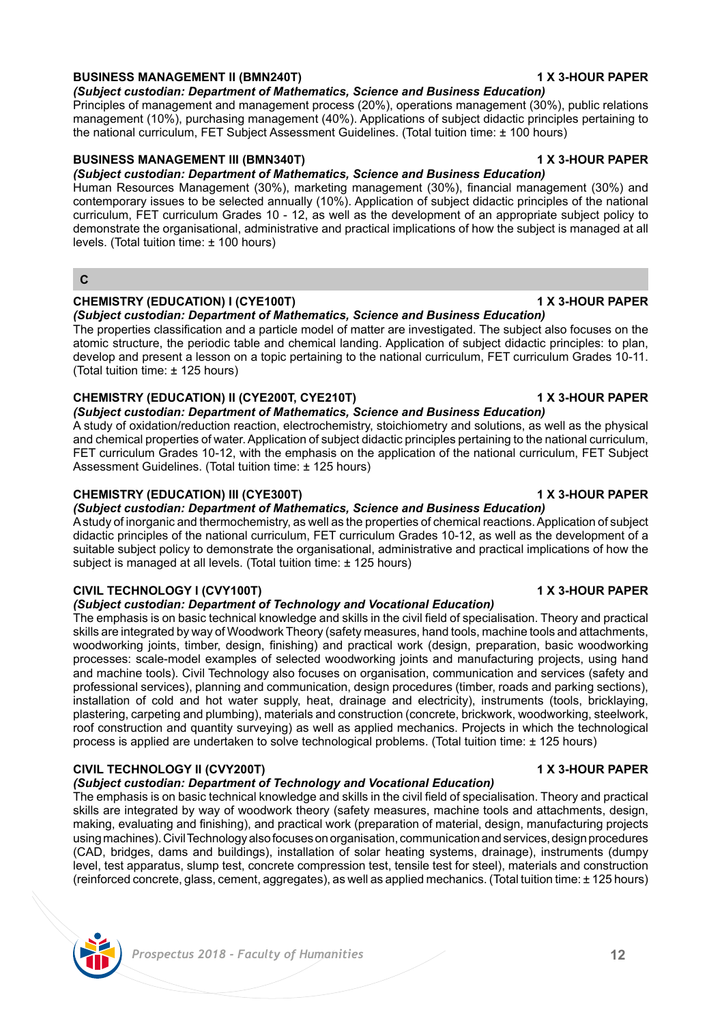### **BUSINESS MANAGEMENT II (BMN240T) 1 X 3-HOUR PAPER** *(Subject custodian: Department of Mathematics, Science and Business Education)*

Principles of management and management process (20%), operations management (30%), public relations management (10%), purchasing management (40%). Applications of subject didactic principles pertaining to the national curriculum, FET Subject Assessment Guidelines. (Total tuition time: ± 100 hours)

# **BUSINESS MANAGEMENT III (BMN340T) 1 X 3-HOUR PAPER**

*(Subject custodian: Department of Mathematics, Science and Business Education)* 

Human Resources Management (30%), marketing management (30%), financial management (30%) and contemporary issues to be selected annually (10%). Application of subject didactic principles of the national curriculum, FET curriculum Grades 10 - 12, as well as the development of an appropriate subject policy to demonstrate the organisational, administrative and practical implications of how the subject is managed at all levels. (Total tuition time: ± 100 hours)

**C**

# **CHEMISTRY (EDUCATION) I (CYE100T) 1 X 3-HOUR PAPER**

*(Subject custodian: Department of Mathematics, Science and Business Education)*  The properties classification and a particle model of matter are investigated. The subject also focuses on the atomic structure, the periodic table and chemical landing. Application of subject didactic principles: to plan, develop and present a lesson on a topic pertaining to the national curriculum, FET curriculum Grades 10-11. (Total tuition time: ± 125 hours)

# **CHEMISTRY (EDUCATION) II (CYE200T, CYE210T) 1 X 3-HOUR PAPER**

Assessment Guidelines. (Total tuition time: ± 125 hours)

*(Subject custodian: Department of Mathematics, Science and Business Education)*  A study of oxidation/reduction reaction, electrochemistry, stoichiometry and solutions, as well as the physical and chemical properties of water. Application of subject didactic principles pertaining to the national curriculum, FET curriculum Grades 10-12, with the emphasis on the application of the national curriculum, FET Subject

## **CHEMISTRY (EDUCATION) III (CYE300T) 1 X 3-HOUR PAPER**

*(Subject custodian: Department of Mathematics, Science and Business Education)*  A study of inorganic and thermochemistry, as well as the properties of chemical reactions. Application of subject didactic principles of the national curriculum, FET curriculum Grades 10-12, as well as the development of a suitable subject policy to demonstrate the organisational, administrative and practical implications of how the subject is managed at all levels. (Total tuition time: + 125 hours).

## **CIVIL TECHNOLOGY I (CVY100T) 1 X 3-HOUR PAPER**

## *(Subject custodian: Department of Technology and Vocational Education)*

The emphasis is on basic technical knowledge and skills in the civil field of specialisation. Theory and practical skills are integrated by way of Woodwork Theory (safety measures, hand tools, machine tools and attachments, woodworking joints, timber, design, finishing) and practical work (design, preparation, basic woodworking processes: scale-model examples of selected woodworking joints and manufacturing projects, using hand and machine tools). Civil Technology also focuses on organisation, communication and services (safety and professional services), planning and communication, design procedures (timber, roads and parking sections), installation of cold and hot water supply, heat, drainage and electricity), instruments (tools, bricklaying, plastering, carpeting and plumbing), materials and construction (concrete, brickwork, woodworking, steelwork, roof construction and quantity surveying) as well as applied mechanics. Projects in which the technological process is applied are undertaken to solve technological problems. (Total tuition time: ± 125 hours)

# **CIVIL TECHNOLOGY II (CVY200T) 1 X 3-HOUR PAPER**

## *(Subject custodian: Department of Technology and Vocational Education)*

The emphasis is on basic technical knowledge and skills in the civil field of specialisation. Theory and practical skills are integrated by way of woodwork theory (safety measures, machine tools and attachments, design, making, evaluating and finishing), and practical work (preparation of material, design, manufacturing projects using machines). Civil Technology also focuses on organisation, communication and services, design procedures (CAD, bridges, dams and buildings), installation of solar heating systems, drainage), instruments (dumpy level, test apparatus, slump test, concrete compression test, tensile test for steel), materials and construction (reinforced concrete, glass, cement, aggregates), as well as applied mechanics. (Total tuition time: ± 125 hours)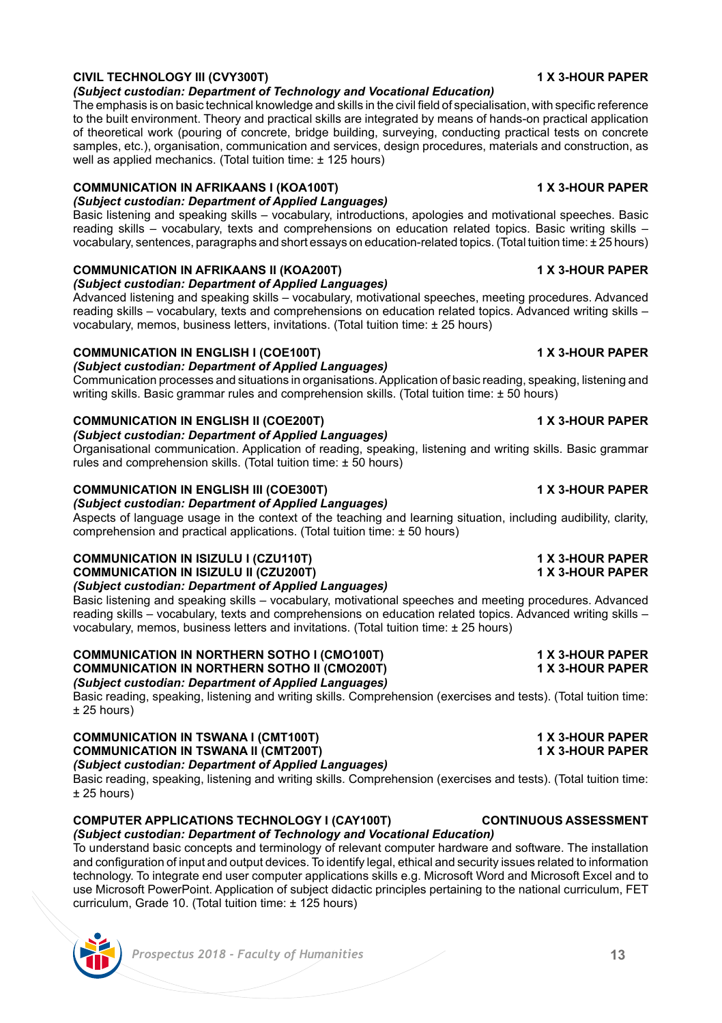# **CIVIL TECHNOLOGY III (CVY300T) 1 X 3-HOUR PAPER**

## *(Subject custodian: Department of Technology and Vocational Education)*

The emphasis is on basic technical knowledge and skills in the civil field of specialisation, with specific reference to the built environment. Theory and practical skills are integrated by means of hands-on practical application of theoretical work (pouring of concrete, bridge building, surveying, conducting practical tests on concrete samples, etc.), organisation, communication and services, design procedures, materials and construction, as well as applied mechanics. (Total tuition time: ± 125 hours)

### **COMMUNICATION IN AFRIKAANS I (KOA100T) 1 X 3-HOUR PAPER** *(Subject custodian: Department of Applied Languages)*

Basic listening and speaking skills – vocabulary, introductions, apologies and motivational speeches. Basic reading skills – vocabulary, texts and comprehensions on education related topics. Basic writing skills – vocabulary, sentences, paragraphs and short essays on education-related topics. (Total tuition time: ± 25 hours)

# **COMMUNICATION IN AFRIKAANS II (KOA200T) 1 X 3-HOUR PAPER**

*(Subject custodian: Department of Applied Languages)*

Advanced listening and speaking skills – vocabulary, motivational speeches, meeting procedures. Advanced reading skills – vocabulary, texts and comprehensions on education related topics. Advanced writing skills – vocabulary, memos, business letters, invitations. (Total tuition time: ± 25 hours)

# **COMMUNICATION IN ENGLISH I (COE100T) 1 X 3-HOUR PAPER**

*(Subject custodian: Department of Applied Languages)*

Communication processes and situations in organisations. Application of basic reading, speaking, listening and writing skills. Basic grammar rules and comprehension skills. (Total tuition time: ± 50 hours)

# **COMMUNICATION IN ENGLISH II (COE200T) 1 X 3-HOUR PAPER**

*(Subject custodian: Department of Applied Languages)*

Organisational communication. Application of reading, speaking, listening and writing skills. Basic grammar rules and comprehension skills. (Total tuition time: ± 50 hours)

# **COMMUNICATION IN ENGLISH III (COE300T) 1 X 3-HOUR PAPER**

*(Subject custodian: Department of Applied Languages)*

Aspects of language usage in the context of the teaching and learning situation, including audibility, clarity, comprehension and practical applications. (Total tuition time: ± 50 hours)

# **COMMUNICATION IN ISIZULU I (CZU110T)**<br>
COMMUNICATION IN ISIZULU II (CZU200T)<br>
1 X 3-HOUR PAPER

**COMMUNICATION IN ISIZULU II (CZU200T)** 

# *(Subject custodian: Department of Applied Languages)*

Basic listening and speaking skills – vocabulary, motivational speeches and meeting procedures. Advanced reading skills – vocabulary, texts and comprehensions on education related topics. Advanced writing skills – vocabulary, memos, business letters and invitations. (Total tuition time: ± 25 hours)

### **COMMUNICATION IN NORTHERN SOTHO I (CMO100T) 1 X 3-HOUR PAPER COMMUNICATION IN NORTHERN SOTHO II (CMO200T)** *(Subject custodian: Department of Applied Languages)*

Basic reading, speaking, listening and writing skills. Comprehension (exercises and tests). (Total tuition time:  $± 25$  hours)

### **COMMUNICATION IN TSWANA I (CMT100T) 1 X 3-HOUR PAPER COMMUNICATION IN TSWANA II (CMT200T)** *(Subject custodian: Department of Applied Languages)*

Basic reading, speaking, listening and writing skills. Comprehension (exercises and tests). (Total tuition time:  $± 25$  hours)

# **COMPUTER APPLICATIONS TECHNOLOGY I (CAY100T) CONTINUOUS ASSESSMENT**

# *(Subject custodian: Department of Technology and Vocational Education)*  To understand basic concepts and terminology of relevant computer hardware and software. The installation

and configuration of input and output devices. To identify legal, ethical and security issues related to information technology. To integrate end user computer applications skills e.g. Microsoft Word and Microsoft Excel and to use Microsoft PowerPoint. Application of subject didactic principles pertaining to the national curriculum, FET curriculum, Grade 10. (Total tuition time: ± 125 hours)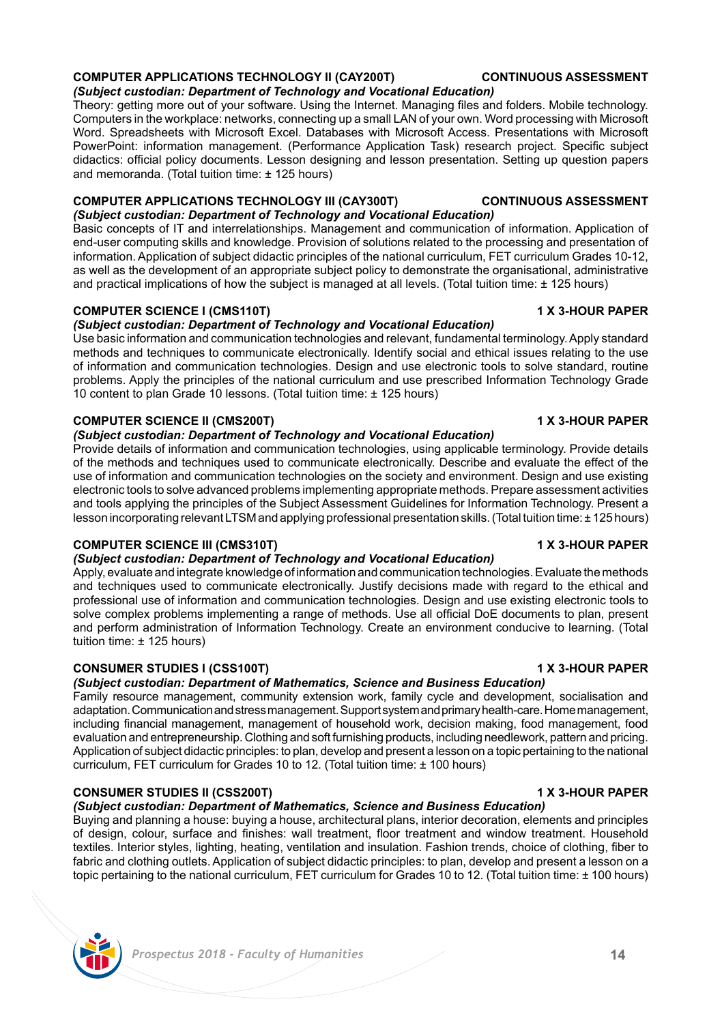# **CONSUMER STUDIES II (CSS200T) 1 X 3-HOUR PAPER** *(Subject custodian: Department of Mathematics, Science and Business Education)*

curriculum, FET curriculum for Grades 10 to 12. (Total tuition time: ± 100 hours)

# adaptation. Communication and stress management. Support system and primary health-care. Home management, including financial management, management of household work, decision making, food management, food evaluation and entrepreneurship. Clothing and soft furnishing products, including needlework, pattern and pricing. Application of subject didactic principles: to plan, develop and present a lesson on a topic pertaining to the national

tuition time: ± 125 hours) **CONSUMER STUDIES I (CSS100T) 1 X 3-HOUR PAPER** *(Subject custodian: Department of Mathematics, Science and Business Education)*  Family resource management, community extension work, family cycle and development, socialisation and

Buying and planning a house: buying a house, architectural plans, interior decoration, elements and principles of design, colour, surface and finishes: wall treatment, floor treatment and window treatment. Household textiles. Interior styles, lighting, heating, ventilation and insulation. Fashion trends, choice of clothing, fiber to fabric and clothing outlets. Application of subject didactic principles: to plan, develop and present a lesson on a topic pertaining to the national curriculum, FET curriculum for Grades 10 to 12. (Total tuition time: ± 100 hours)

**COMPUTER SCIENCE III (CMS310T) 1 X 3-HOUR PAPER** *(Subject custodian: Department of Technology and Vocational Education)* 

Apply, evaluate and integrate knowledge of information and communication technologies. Evaluate the methods and techniques used to communicate electronically. Justify decisions made with regard to the ethical and professional use of information and communication technologies. Design and use existing electronic tools to solve complex problems implementing a range of methods. Use all official DoE documents to plan, present and perform administration of Information Technology. Create an environment conducive to learning. (Total

**COMPUTER APPLICATIONS TECHNOLOGY III (CAY300T) CONTINUOUS ASSESSMENT** *(Subject custodian: Department of Technology and Vocational Education)*  Basic concepts of IT and interrelationships. Management and communication of information. Application of end-user computing skills and knowledge. Provision of solutions related to the processing and presentation of information. Application of subject didactic principles of the national curriculum, FET curriculum Grades 10-12, as well as the development of an appropriate subject policy to demonstrate the organisational, administrative

and practical implications of how the subject is managed at all levels. (Total tuition time:  $\pm$  125 hours)

## **COMPUTER SCIENCE I (CMS110T) 1 X 3-HOUR PAPER**

## *(Subject custodian: Department of Technology and Vocational Education)*

Use basic information and communication technologies and relevant, fundamental terminology. Apply standard methods and techniques to communicate electronically. Identify social and ethical issues relating to the use of information and communication technologies. Design and use electronic tools to solve standard, routine problems. Apply the principles of the national curriculum and use prescribed Information Technology Grade 10 content to plan Grade 10 lessons. (Total tuition time: ± 125 hours)

# **COMPUTER SCIENCE II (CMS200T) 1 X 3-HOUR PAPER**

*(Subject custodian: Department of Technology and Vocational Education)* 

Provide details of information and communication technologies, using applicable terminology. Provide details of the methods and techniques used to communicate electronically. Describe and evaluate the effect of the use of information and communication technologies on the society and environment. Design and use existing electronic tools to solve advanced problems implementing appropriate methods. Prepare assessment activities and tools applying the principles of the Subject Assessment Guidelines for Information Technology. Present a lesson incorporating relevant LTSM and applying professional presentation skills. (Total tuition time: ± 125 hours)

# *(Subject custodian: Department of Technology and Vocational Education)*

Theory: getting more out of your software. Using the Internet. Managing files and folders. Mobile technology. Computers in the workplace: networks, connecting up a small LAN of your own. Word processing with Microsoft Word. Spreadsheets with Microsoft Excel. Databases with Microsoft Access. Presentations with Microsoft PowerPoint: information management. (Performance Application Task) research project. Specific subject didactics: official policy documents. Lesson designing and lesson presentation. Setting up question papers and memoranda. (Total tuition time: ± 125 hours)

# **COMPUTER APPLICATIONS TECHNOLOGY II (CAY200T) CONTINUOUS ASSESSMENT**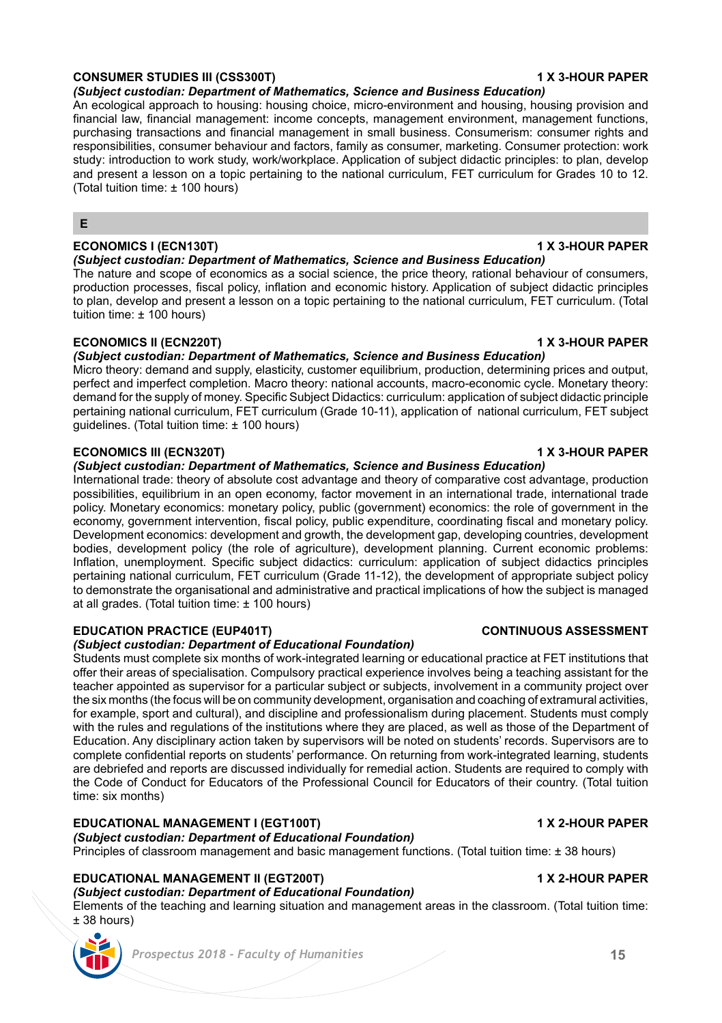## **CONSUMER STUDIES III (CSS300T) 1 X 3-HOUR PAPER**

*(Subject custodian: Department of Mathematics, Science and Business Education)* 

An ecological approach to housing: housing choice, micro-environment and housing, housing provision and financial law, financial management: income concepts, management environment, management functions, purchasing transactions and financial management in small business. Consumerism: consumer rights and responsibilities, consumer behaviour and factors, family as consumer, marketing. Consumer protection: work study: introduction to work study, work/workplace. Application of subject didactic principles: to plan, develop and present a lesson on a topic pertaining to the national curriculum, FET curriculum for Grades 10 to 12. (Total tuition time: ± 100 hours)

## **E**

## **ECONOMICS I (ECN130T) 1 X 3-HOUR PAPER**

*(Subject custodian: Department of Mathematics, Science and Business Education)* 

The nature and scope of economics as a social science, the price theory, rational behaviour of consumers, production processes, fiscal policy, inflation and economic history. Application of subject didactic principles to plan, develop and present a lesson on a topic pertaining to the national curriculum, FET curriculum. (Total tuition time: ± 100 hours)

## **ECONOMICS II (ECN220T) 1 X 3-HOUR PAPER**

## *(Subject custodian: Department of Mathematics, Science and Business Education)*

Micro theory: demand and supply, elasticity, customer equilibrium, production, determining prices and output, perfect and imperfect completion. Macro theory: national accounts, macro-economic cycle. Monetary theory: demand for the supply of money. Specific Subject Didactics: curriculum: application of subject didactic principle pertaining national curriculum, FET curriculum (Grade 10-11), application of national curriculum, FET subject guidelines. (Total tuition time: ± 100 hours)

### **ECONOMICS III (ECN320T) 1 X 3-HOUR PAPER**

*(Subject custodian: Department of Mathematics, Science and Business Education)* 

International trade: theory of absolute cost advantage and theory of comparative cost advantage, production possibilities, equilibrium in an open economy, factor movement in an international trade, international trade policy. Monetary economics: monetary policy, public (government) economics: the role of government in the economy, government intervention, fiscal policy, public expenditure, coordinating fiscal and monetary policy. Development economics: development and growth, the development gap, developing countries, development bodies, development policy (the role of agriculture), development planning. Current economic problems: Inflation, unemployment. Specific subject didactics: curriculum: application of subject didactics principles pertaining national curriculum, FET curriculum (Grade 11-12), the development of appropriate subject policy to demonstrate the organisational and administrative and practical implications of how the subject is managed at all grades. (Total tuition time: ± 100 hours)

## **EDUCATION PRACTICE (EUP401T) CONTINUOUS ASSESSMENT**

### *(Subject custodian: Department of Educational Foundation)*

Students must complete six months of work-integrated learning or educational practice at FET institutions that offer their areas of specialisation. Compulsory practical experience involves being a teaching assistant for the teacher appointed as supervisor for a particular subject or subjects, involvement in a community project over the six months (the focus will be on community development, organisation and coaching of extramural activities, for example, sport and cultural), and discipline and professionalism during placement. Students must comply with the rules and regulations of the institutions where they are placed, as well as those of the Department of Education. Any disciplinary action taken by supervisors will be noted on students' records. Supervisors are to complete confidential reports on students' performance. On returning from work-integrated learning, students are debriefed and reports are discussed individually for remedial action. Students are required to comply with the Code of Conduct for Educators of the Professional Council for Educators of their country. (Total tuition time: six months)

## **EDUCATIONAL MANAGEMENT I (EGT100T) 1 X 2-HOUR PAPER**

*(Subject custodian: Department of Educational Foundation)*

Principles of classroom management and basic management functions. (Total tuition time: ± 38 hours)

## **EDUCATIONAL MANAGEMENT II (EGT200T) 1 X 2-HOUR PAPER**

## *(Subject custodian: Department of Educational Foundation)*

Elements of the teaching and learning situation and management areas in the classroom. (Total tuition time: ± 38 hours)

![](_page_14_Picture_22.jpeg)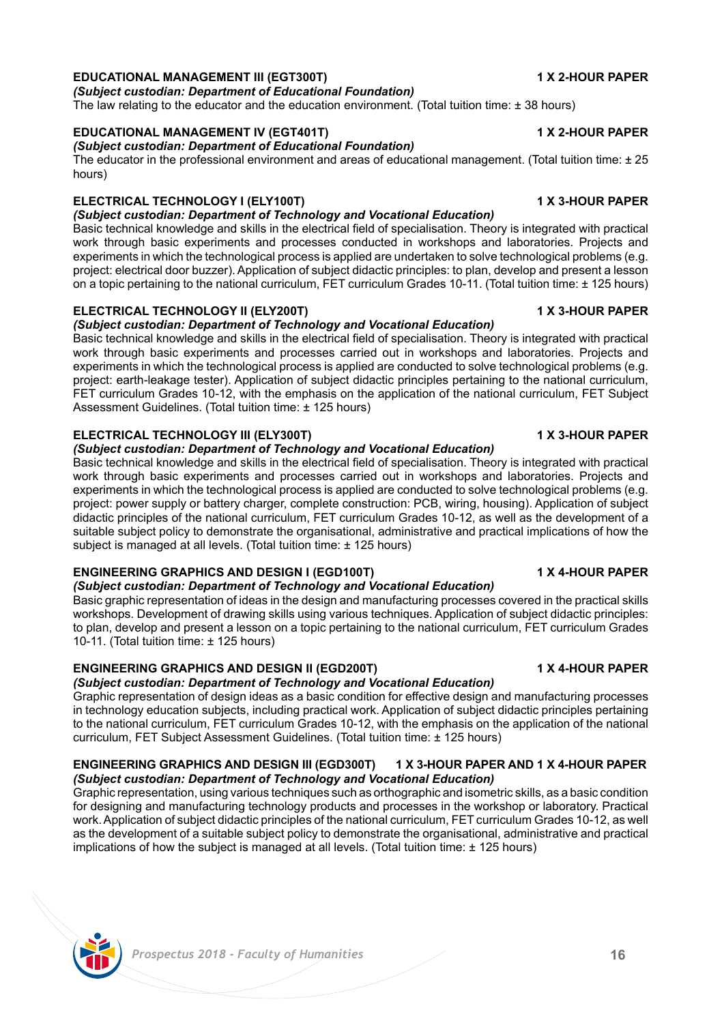### **EDUCATIONAL MANAGEMENT III (EGT300T) 1 X 2-HOUR PAPER** *(Subject custodian: Department of Educational Foundation)*

The law relating to the educator and the education environment. (Total tuition time:  $\pm$  38 hours)

## **EDUCATIONAL MANAGEMENT IV (EGT401T) 1 X 2-HOUR PAPER**

## *(Subject custodian: Department of Educational Foundation)*

The educator in the professional environment and areas of educational management. (Total tuition time: ± 25 hours)

## **ELECTRICAL TECHNOLOGY I (ELY100T) 1 X 3-HOUR PAPER**

*(Subject custodian: Department of Technology and Vocational Education)* 

Basic technical knowledge and skills in the electrical field of specialisation. Theory is integrated with practical work through basic experiments and processes conducted in workshops and laboratories. Projects and experiments in which the technological process is applied are undertaken to solve technological problems (e.g. project: electrical door buzzer). Application of subject didactic principles: to plan, develop and present a lesson on a topic pertaining to the national curriculum, FET curriculum Grades 10-11. (Total tuition time: ± 125 hours)

## **ELECTRICAL TECHNOLOGY II (ELY200T) 1 X 3-HOUR PAPER**

## *(Subject custodian: Department of Technology and Vocational Education)*

Basic technical knowledge and skills in the electrical field of specialisation. Theory is integrated with practical work through basic experiments and processes carried out in workshops and laboratories. Projects and experiments in which the technological process is applied are conducted to solve technological problems (e.g. project: earth-leakage tester). Application of subject didactic principles pertaining to the national curriculum, FET curriculum Grades 10-12, with the emphasis on the application of the national curriculum, FET Subject Assessment Guidelines. (Total tuition time: ± 125 hours)

## **ELECTRICAL TECHNOLOGY III (ELY300T) 1 X 3-HOUR PAPER**

*(Subject custodian: Department of Technology and Vocational Education)* 

Basic technical knowledge and skills in the electrical field of specialisation. Theory is integrated with practical work through basic experiments and processes carried out in workshops and laboratories. Projects and experiments in which the technological process is applied are conducted to solve technological problems (e.g. project: power supply or battery charger, complete construction: PCB, wiring, housing). Application of subject didactic principles of the national curriculum, FET curriculum Grades 10-12, as well as the development of a suitable subject policy to demonstrate the organisational, administrative and practical implications of how the subject is managed at all levels. (Total tuition time: ± 125 hours)

## **ENGINEERING GRAPHICS AND DESIGN I (EGD100T) 1 X 4-HOUR PAPER**

## *(Subject custodian: Department of Technology and Vocational Education)*

Basic graphic representation of ideas in the design and manufacturing processes covered in the practical skills workshops. Development of drawing skills using various techniques. Application of subject didactic principles: to plan, develop and present a lesson on a topic pertaining to the national curriculum, FET curriculum Grades 10-11. (Total tuition time: ± 125 hours)

## **ENGINEERING GRAPHICS AND DESIGN II (EGD200T) 1 X 4-HOUR PAPER**

## *(Subject custodian: Department of Technology and Vocational Education)*

Graphic representation of design ideas as a basic condition for effective design and manufacturing processes in technology education subjects, including practical work. Application of subject didactic principles pertaining to the national curriculum, FET curriculum Grades 10-12, with the emphasis on the application of the national curriculum, FET Subject Assessment Guidelines. (Total tuition time: ± 125 hours)

## **ENGINEERING GRAPHICS AND DESIGN III (EGD300T) 1 X 3-HOUR PAPER AND 1 X 4-HOUR PAPER** *(Subject custodian: Department of Technology and Vocational Education)*

Graphic representation, using various techniques such as orthographic and isometric skills, as a basic condition for designing and manufacturing technology products and processes in the workshop or laboratory. Practical work. Application of subject didactic principles of the national curriculum, FET curriculum Grades 10-12, as well as the development of a suitable subject policy to demonstrate the organisational, administrative and practical implications of how the subject is managed at all levels. (Total tuition time: ± 125 hours)

# *Prospectus 2018 - Faculty of Humanities* **16**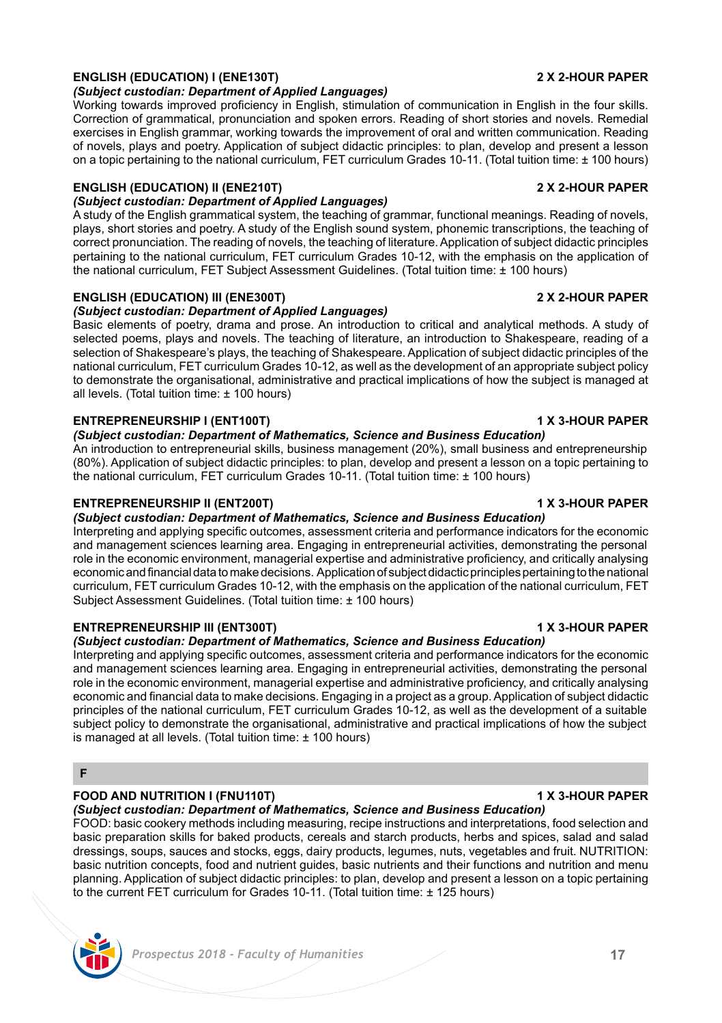# **ENGLISH (EDUCATION) I (ENE130T) 2 X 2-HOUR PAPER**

# *(Subject custodian: Department of Applied Languages)*

Working towards improved proficiency in English, stimulation of communication in English in the four skills. Correction of grammatical, pronunciation and spoken errors. Reading of short stories and novels. Remedial exercises in English grammar, working towards the improvement of oral and written communication. Reading of novels, plays and poetry. Application of subject didactic principles: to plan, develop and present a lesson on a topic pertaining to the national curriculum, FET curriculum Grades 10-11. (Total tuition time: ± 100 hours)

# **ENGLISH (EDUCATION) II (ENE210T) 2 X 2-HOUR PAPER**

# *(Subject custodian: Department of Applied Languages)*

A study of the English grammatical system, the teaching of grammar, functional meanings. Reading of novels, plays, short stories and poetry. A study of the English sound system, phonemic transcriptions, the teaching of correct pronunciation. The reading of novels, the teaching of literature. Application of subject didactic principles pertaining to the national curriculum, FET curriculum Grades 10-12, with the emphasis on the application of the national curriculum, FET Subject Assessment Guidelines. (Total tuition time: ± 100 hours)

# **ENGLISH (EDUCATION) III (ENE300T) 2 X 2-HOUR PAPER**

### *(Subject custodian: Department of Applied Languages)* Basic elements of poetry, drama and prose. An introduction to critical and analytical methods. A study of selected poems, plays and novels. The teaching of literature, an introduction to Shakespeare, reading of a selection of Shakespeare's plays, the teaching of Shakespeare. Application of subject didactic principles of the national curriculum, FET curriculum Grades 10-12, as well as the development of an appropriate subject policy to demonstrate the organisational, administrative and practical implications of how the subject is managed at all levels. (Total tuition time: ± 100 hours)

# **ENTREPRENEURSHIP I (ENT100T) 1 X 3-HOUR PAPER**

# *(Subject custodian: Department of Mathematics, Science and Business Education)*

An introduction to entrepreneurial skills, business management (20%), small business and entrepreneurship (80%). Application of subject didactic principles: to plan, develop and present a lesson on a topic pertaining to the national curriculum, FET curriculum Grades 10-11. (Total tuition time: ± 100 hours)

# **ENTREPRENEURSHIP II (ENT200T) 1 X 3-HOUR PAPER**

# *(Subject custodian: Department of Mathematics, Science and Business Education)*

Interpreting and applying specific outcomes, assessment criteria and performance indicators for the economic and management sciences learning area. Engaging in entrepreneurial activities, demonstrating the personal role in the economic environment, managerial expertise and administrative proficiency, and critically analysing economic and financial data to make decisions. Application of subject didactic principles pertaining to the national curriculum, FET curriculum Grades 10-12, with the emphasis on the application of the national curriculum, FET Subject Assessment Guidelines. (Total tuition time: ± 100 hours)

# **ENTREPRENEURSHIP III (ENT300T) 1 X 3-HOUR PAPER**

# *(Subject custodian: Department of Mathematics, Science and Business Education)*

Interpreting and applying specific outcomes, assessment criteria and performance indicators for the economic and management sciences learning area. Engaging in entrepreneurial activities, demonstrating the personal role in the economic environment, managerial expertise and administrative proficiency, and critically analysing economic and financial data to make decisions. Engaging in a project as a group. Application of subject didactic principles of the national curriculum, FET curriculum Grades 10-12, as well as the development of a suitable subject policy to demonstrate the organisational, administrative and practical implications of how the subject is managed at all levels. (Total tuition time: ± 100 hours)

# **F**

# **FOOD AND NUTRITION I (FNU110T) 1 X 3-HOUR PAPER**

## *(Subject custodian: Department of Mathematics, Science and Business Education)*

FOOD: basic cookery methods including measuring, recipe instructions and interpretations, food selection and basic preparation skills for baked products, cereals and starch products, herbs and spices, salad and salad dressings, soups, sauces and stocks, eggs, dairy products, legumes, nuts, vegetables and fruit. NUTRITION: basic nutrition concepts, food and nutrient guides, basic nutrients and their functions and nutrition and menu planning. Application of subject didactic principles: to plan, develop and present a lesson on a topic pertaining to the current FET curriculum for Grades 10-11. (Total tuition time: ± 125 hours)

# *Prospectus 2018 - Faculty of Humanities* **17**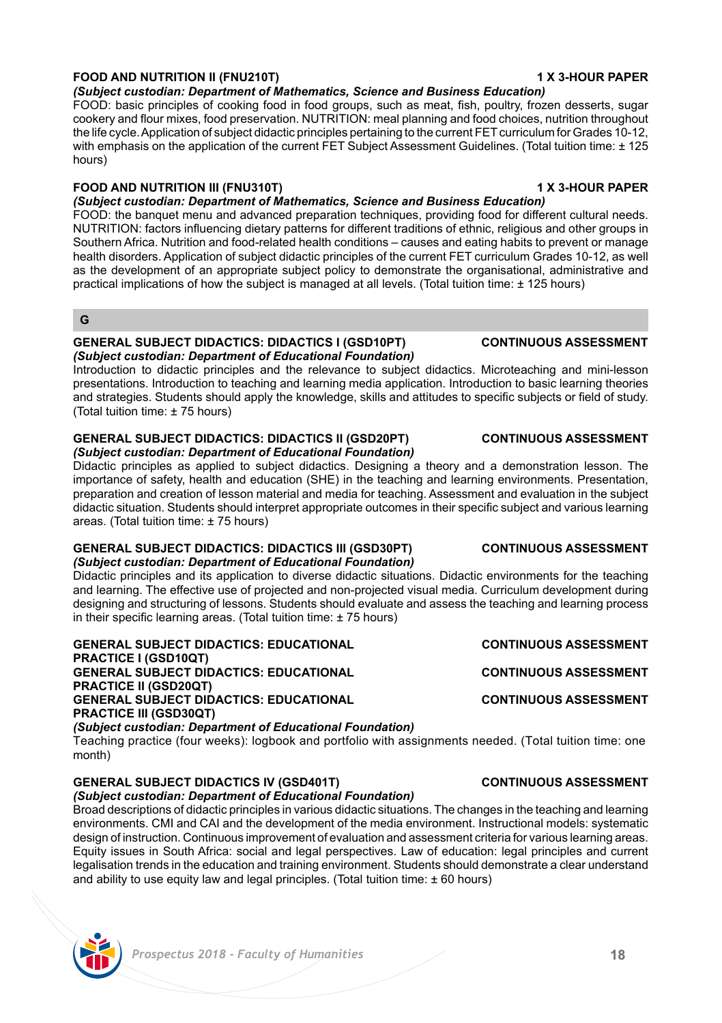# **FOOD AND NUTRITION II (FNU210T) 1 X 3-HOUR PAPER**

*(Subject custodian: Department of Mathematics, Science and Business Education)* 

FOOD: basic principles of cooking food in food groups, such as meat, fish, poultry, frozen desserts, sugar cookery and flour mixes, food preservation. NUTRITION: meal planning and food choices, nutrition throughout the life cycle. Application of subject didactic principles pertaining to the current FET curriculum for Grades 10-12, with emphasis on the application of the current FET Subject Assessment Guidelines. (Total tuition time: ± 125 hours)

## **FOOD AND NUTRITION III (FNU310T) 1 X 3-HOUR PAPER**

## *(Subject custodian: Department of Mathematics, Science and Business Education)*

FOOD: the banquet menu and advanced preparation techniques, providing food for different cultural needs. NUTRITION: factors influencing dietary patterns for different traditions of ethnic, religious and other groups in Southern Africa. Nutrition and food-related health conditions – causes and eating habits to prevent or manage health disorders. Application of subject didactic principles of the current FET curriculum Grades 10-12, as well as the development of an appropriate subject policy to demonstrate the organisational, administrative and practical implications of how the subject is managed at all levels. (Total tuition time: ± 125 hours)

## **G**

### **GENERAL SUBJECT DIDACTICS: DIDACTICS I (GSD10PT) CONTINUOUS ASSESSMENT** *(Subject custodian: Department of Educational Foundation)*

Introduction to didactic principles and the relevance to subject didactics. Microteaching and mini-lesson presentations. Introduction to teaching and learning media application. Introduction to basic learning theories and strategies. Students should apply the knowledge, skills and attitudes to specific subjects or field of study. (Total tuition time: ± 75 hours)

### **GENERAL SUBJECT DIDACTICS: DIDACTICS II (GSD20PT) CONTINUOUS ASSESSMENT** *(Subject custodian: Department of Educational Foundation)*

Didactic principles as applied to subject didactics. Designing a theory and a demonstration lesson. The importance of safety, health and education (SHE) in the teaching and learning environments. Presentation, preparation and creation of lesson material and media for teaching. Assessment and evaluation in the subject didactic situation. Students should interpret appropriate outcomes in their specific subject and various learning areas. (Total tuition time: ± 75 hours)

# **GENERAL SUBJECT DIDACTICS: DIDACTICS III (GSD30PT) CONTINUOUS ASSESSMENT**

## *(Subject custodian: Department of Educational Foundation)*

Didactic principles and its application to diverse didactic situations. Didactic environments for the teaching and learning. The effective use of projected and non-projected visual media. Curriculum development during designing and structuring of lessons. Students should evaluate and assess the teaching and learning process in their specific learning areas. (Total tuition time: ± 75 hours)

**GENERAL SUBJECT DIDACTICS: EDUCATIONAL CONTINUOUS ASSESSMENT PRACTICE I (GSD10QT) GENERAL SUBJECT DIDACTICS: EDUCATIONAL CONTINUOUS ASSESSMENT PRACTICE II (GSD20QT) GENERAL SUBJECT DIDACTICS: EDUCATIONAL CONTINUOUS ASSESSMENT PRACTICE III (GSD30QT)** *(Subject custodian: Department of Educational Foundation)*

Teaching practice (four weeks): logbook and portfolio with assignments needed. (Total tuition time: one month)

# **GENERAL SUBJECT DIDACTICS IV (GSD401T) CONTINUOUS ASSESSMENT**

*(Subject custodian: Department of Educational Foundation)*

Broad descriptions of didactic principles in various didactic situations. The changes in the teaching and learning environments. CMI and CAI and the development of the media environment. Instructional models: systematic design of instruction. Continuous improvement of evaluation and assessment criteria for various learning areas. Equity issues in South Africa: social and legal perspectives. Law of education: legal principles and current legalisation trends in the education and training environment. Students should demonstrate a clear understand and ability to use equity law and legal principles. (Total tuition time:  $\pm 60$  hours)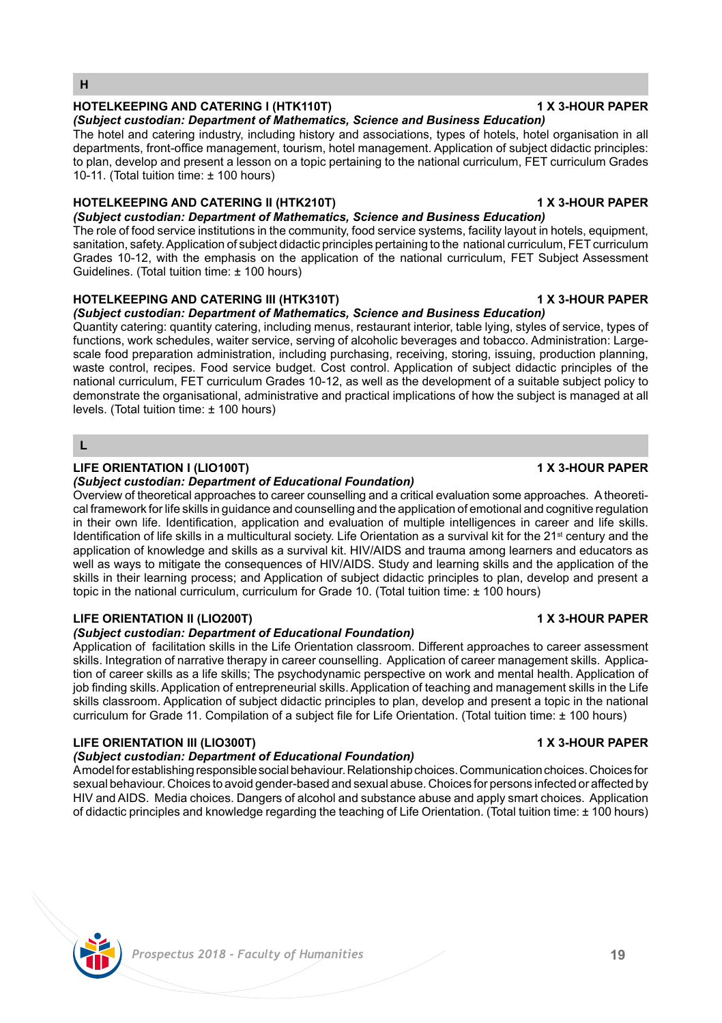## *Prospectus 2018 - Faculty of Humanities* **19**

### **HOTELKEEPING AND CATERING I (HTK110T) 1 X 3-HOUR PAPER**

*(Subject custodian: Department of Mathematics, Science and Business Education)*  The hotel and catering industry, including history and associations, types of hotels, hotel organisation in all departments, front-office management, tourism, hotel management. Application of subject didactic principles: to plan, develop and present a lesson on a topic pertaining to the national curriculum, FET curriculum Grades 10-11. (Total tuition time: ± 100 hours)

## **HOTELKEEPING AND CATERING II (HTK210T) 1 X 3-HOUR PAPER**

*(Subject custodian: Department of Mathematics, Science and Business Education)*  The role of food service institutions in the community, food service systems, facility layout in hotels, equipment, sanitation, safety. Application of subject didactic principles pertaining to the national curriculum, FET curriculum Grades 10-12, with the emphasis on the application of the national curriculum, FET Subject Assessment Guidelines. (Total tuition time: ± 100 hours)

### **HOTELKEEPING AND CATERING III (HTK310T) 1 X 3-HOUR PAPER**

*(Subject custodian: Department of Mathematics, Science and Business Education)*  Quantity catering: quantity catering, including menus, restaurant interior, table lying, styles of service, types of

functions, work schedules, waiter service, serving of alcoholic beverages and tobacco. Administration: Largescale food preparation administration, including purchasing, receiving, storing, issuing, production planning, waste control, recipes. Food service budget. Cost control. Application of subject didactic principles of the national curriculum, FET curriculum Grades 10-12, as well as the development of a suitable subject policy to demonstrate the organisational, administrative and practical implications of how the subject is managed at all levels. (Total tuition time: ± 100 hours)

## **L**

**H**

### **LIFE ORIENTATION I (LIO100T) 1 X 3-HOUR PAPER**

### *(Subject custodian: Department of Educational Foundation)*

Overview of theoretical approaches to career counselling and a critical evaluation some approaches. A theoretical framework for life skills in guidance and counselling and the application of emotional and cognitive regulation in their own life. Identification, application and evaluation of multiple intelligences in career and life skills. Identification of life skills in a multicultural society. Life Orientation as a survival kit for the  $21<sup>st</sup>$  century and the application of knowledge and skills as a survival kit. HIV/AIDS and trauma among learners and educators as well as ways to mitigate the consequences of HIV/AIDS. Study and learning skills and the application of the skills in their learning process; and Application of subject didactic principles to plan, develop and present a topic in the national curriculum, curriculum for Grade 10. (Total tuition time: ± 100 hours)

### **LIFE ORIENTATION II (LIO200T) 1 X 3-HOUR PAPER**

### *(Subject custodian: Department of Educational Foundation)*

Application of facilitation skills in the Life Orientation classroom. Different approaches to career assessment skills. Integration of narrative therapy in career counselling. Application of career management skills. Application of career skills as a life skills; The psychodynamic perspective on work and mental health. Application of job finding skills. Application of entrepreneurial skills. Application of teaching and management skills in the Life skills classroom. Application of subject didactic principles to plan, develop and present a topic in the national curriculum for Grade 11. Compilation of a subject file for Life Orientation. (Total tuition time: ± 100 hours)

## **LIFE ORIENTATION III (LIO300T) 1 X 3-HOUR PAPER**

### *(Subject custodian: Department of Educational Foundation)*

A model for establishing responsible social behaviour. Relationship choices. Communication choices. Choices for sexual behaviour. Choices to avoid gender-based and sexual abuse. Choices for persons infected or affected by HIV and AIDS. Media choices. Dangers of alcohol and substance abuse and apply smart choices. Application of didactic principles and knowledge regarding the teaching of Life Orientation. (Total tuition time: ± 100 hours)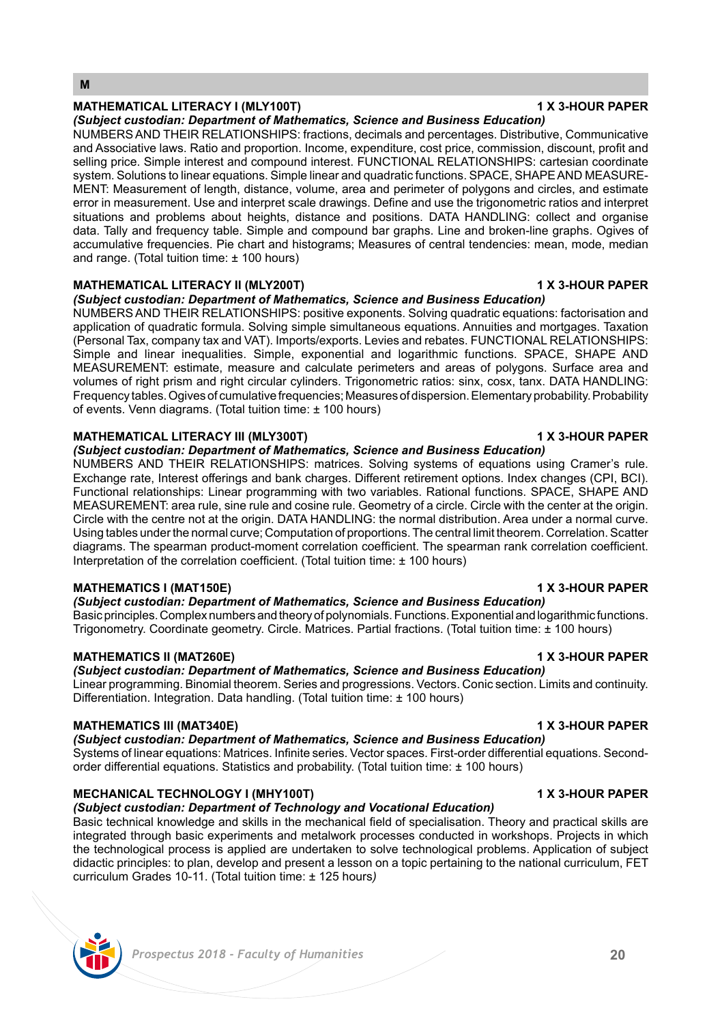## **MATHEMATICAL LITERACY I (MLY100T) 1 X 3-HOUR PAPER**

*(Subject custodian: Department of Mathematics, Science and Business Education)*  NUMBERS AND THEIR RELATIONSHIPS: fractions, decimals and percentages. Distributive, Communicative and Associative laws. Ratio and proportion. Income, expenditure, cost price, commission, discount, profit and selling price. Simple interest and compound interest. FUNCTIONAL RELATIONSHIPS: cartesian coordinate system. Solutions to linear equations. Simple linear and quadratic functions. SPACE, SHAPE AND MEASURE-MENT: Measurement of length, distance, volume, area and perimeter of polygons and circles, and estimate error in measurement. Use and interpret scale drawings. Define and use the trigonometric ratios and interpret situations and problems about heights, distance and positions. DATA HANDLING: collect and organise data. Tally and frequency table. Simple and compound bar graphs. Line and broken-line graphs. Ogives of accumulative frequencies. Pie chart and histograms; Measures of central tendencies: mean, mode, median and range. (Total tuition time: ± 100 hours)

## **MATHEMATICAL LITERACY II (MLY200T) 1 X 3-HOUR PAPER**

*(Subject custodian: Department of Mathematics, Science and Business Education)* 

NUMBERS AND THEIR RELATIONSHIPS: positive exponents. Solving quadratic equations: factorisation and application of quadratic formula. Solving simple simultaneous equations. Annuities and mortgages. Taxation (Personal Tax, company tax and VAT). Imports/exports. Levies and rebates. FUNCTIONAL RELATIONSHIPS: Simple and linear inequalities. Simple, exponential and logarithmic functions. SPACE, SHAPE AND MEASUREMENT: estimate, measure and calculate perimeters and areas of polygons. Surface area and volumes of right prism and right circular cylinders. Trigonometric ratios: sinx, cosx, tanx. DATA HANDLING: Frequency tables. Ogives of cumulative frequencies; Measures of dispersion. Elementary probability. Probability of events. Venn diagrams. (Total tuition time: ± 100 hours)

### **MATHEMATICAL LITERACY III (MLY300T) 1 X 3-HOUR PAPER**

*(Subject custodian: Department of Mathematics, Science and Business Education)* 

NUMBERS AND THEIR RELATIONSHIPS: matrices. Solving systems of equations using Cramer's rule. Exchange rate, Interest offerings and bank charges. Different retirement options. Index changes (CPI, BCI). Functional relationships: Linear programming with two variables. Rational functions. SPACE, SHAPE AND MEASUREMENT: area rule, sine rule and cosine rule. Geometry of a circle. Circle with the center at the origin. Circle with the centre not at the origin. DATA HANDLING: the normal distribution. Area under a normal curve. Using tables under the normal curve; Computation of proportions. The central limit theorem. Correlation. Scatter diagrams. The spearman product-moment correlation coefficient. The spearman rank correlation coefficient. Interpretation of the correlation coefficient. (Total tuition time: ± 100 hours)

## **MATHEMATICS I (MAT150E) 1 X 3-HOUR PAPER**

## *(Subject custodian: Department of Mathematics, Science and Business Education)*

Basic principles. Complex numbers and theory of polynomials. Functions. Exponential and logarithmic functions. Trigonometry. Coordinate geometry. Circle. Matrices. Partial fractions. (Total tuition time: ± 100 hours)

### **MATHEMATICS II (MAT260E) 1 X 3-HOUR PAPER**

*(Subject custodian: Department of Mathematics, Science and Business Education)*  Linear programming. Binomial theorem. Series and progressions. Vectors. Conic section. Limits and continuity. Differentiation. Integration. Data handling. (Total tuition time: ± 100 hours)

## **MATHEMATICS III (MAT340E) 1 X 3-HOUR PAPER**

*(Subject custodian: Department of Mathematics, Science and Business Education)*  Systems of linear equations: Matrices. Infinite series. Vector spaces. First-order differential equations. Secondorder differential equations. Statistics and probability. (Total tuition time: ± 100 hours)

### **MECHANICAL TECHNOLOGY I (MHY100T) 1 X 3-HOUR PAPER**

### *(Subject custodian: Department of Technology and Vocational Education)*

Basic technical knowledge and skills in the mechanical field of specialisation. Theory and practical skills are integrated through basic experiments and metalwork processes conducted in workshops. Projects in which the technological process is applied are undertaken to solve technological problems. Application of subject didactic principles: to plan, develop and present a lesson on a topic pertaining to the national curriculum, FET curriculum Grades 10-11. (Total tuition time: ± 125 hours*)*

![](_page_19_Picture_23.jpeg)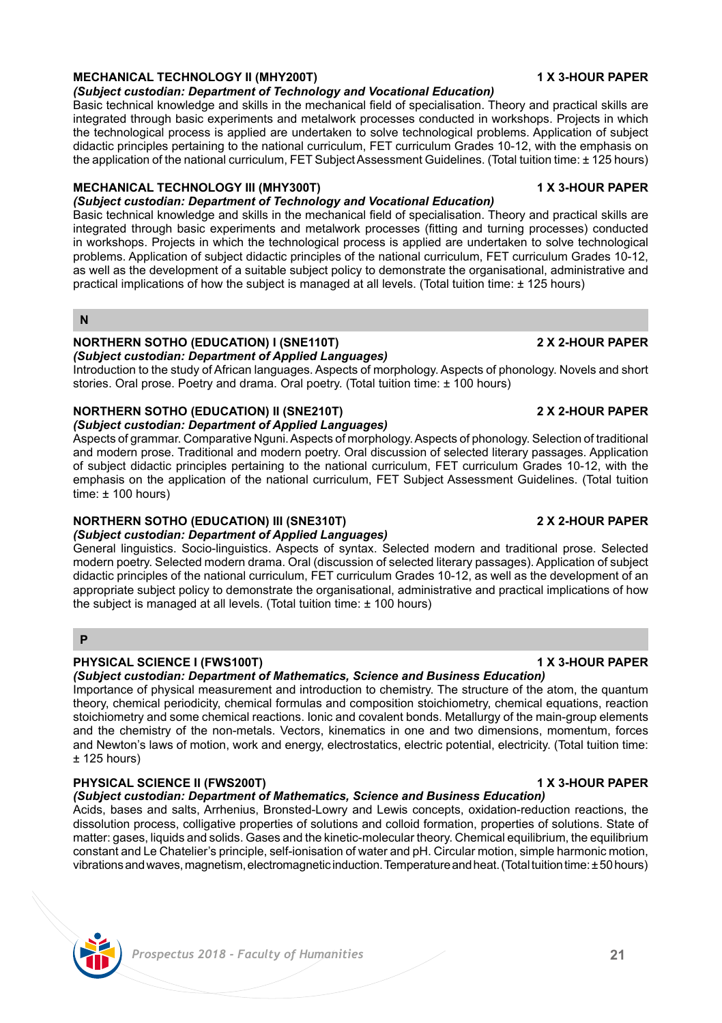# *Prospectus 2018 - Faculty of Humanities* **21**

## **MECHANICAL TECHNOLOGY II (MHY200T) 1 X 3-HOUR PAPER**

## *(Subject custodian: Department of Technology and Vocational Education)*

Basic technical knowledge and skills in the mechanical field of specialisation. Theory and practical skills are integrated through basic experiments and metalwork processes conducted in workshops. Projects in which the technological process is applied are undertaken to solve technological problems. Application of subject didactic principles pertaining to the national curriculum, FET curriculum Grades 10-12, with the emphasis on the application of the national curriculum, FET Subject Assessment Guidelines. (Total tuition time: ± 125 hours)

## **MECHANICAL TECHNOLOGY III (MHY300T) 1 X 3-HOUR PAPER**

### *(Subject custodian: Department of Technology and Vocational Education)*

Basic technical knowledge and skills in the mechanical field of specialisation. Theory and practical skills are integrated through basic experiments and metalwork processes (fitting and turning processes) conducted in workshops. Projects in which the technological process is applied are undertaken to solve technological problems. Application of subject didactic principles of the national curriculum, FET curriculum Grades 10-12, as well as the development of a suitable subject policy to demonstrate the organisational, administrative and practical implications of how the subject is managed at all levels. (Total tuition time: ± 125 hours)

## **N**

### **NORTHERN SOTHO (EDUCATION) I (SNE110T) 2 X 2-HOUR PAPER** *(Subject custodian: Department of Applied Languages)*

Introduction to the study of African languages. Aspects of morphology. Aspects of phonology. Novels and short stories. Oral prose. Poetry and drama. Oral poetry. (Total tuition time: ± 100 hours)

## **NORTHERN SOTHO (EDUCATION) II (SNE210T) 2 X 2-HOUR PAPER**

*(Subject custodian: Department of Applied Languages)*

Aspects of grammar. Comparative Nguni. Aspects of morphology. Aspects of phonology. Selection of traditional and modern prose. Traditional and modern poetry. Oral discussion of selected literary passages. Application of subject didactic principles pertaining to the national curriculum, FET curriculum Grades 10-12, with the emphasis on the application of the national curriculum, FET Subject Assessment Guidelines. (Total tuition time: ± 100 hours)

## **NORTHERN SOTHO (EDUCATION) III (SNE310T) 2 X 2-HOUR PAPER**

*(Subject custodian: Department of Applied Languages)*

General linguistics. Socio-linguistics. Aspects of syntax. Selected modern and traditional prose. Selected modern poetry. Selected modern drama. Oral (discussion of selected literary passages). Application of subject didactic principles of the national curriculum, FET curriculum Grades 10-12, as well as the development of an appropriate subject policy to demonstrate the organisational, administrative and practical implications of how the subject is managed at all levels. (Total tuition time: ± 100 hours)

## **P**

## **PHYSICAL SCIENCE I (FWS100T) 1 X 3-HOUR PAPER**

*(Subject custodian: Department of Mathematics, Science and Business Education)*  Importance of physical measurement and introduction to chemistry. The structure of the atom, the quantum theory, chemical periodicity, chemical formulas and composition stoichiometry, chemical equations, reaction stoichiometry and some chemical reactions. Ionic and covalent bonds. Metallurgy of the main-group elements and the chemistry of the non-metals. Vectors, kinematics in one and two dimensions, momentum, forces and Newton's laws of motion, work and energy, electrostatics, electric potential, electricity. (Total tuition time:  $± 125$  hours)

# **PHYSICAL SCIENCE II (FWS200T) 1 X 3-HOUR PAPER**

## *(Subject custodian: Department of Mathematics, Science and Business Education)*

Acids, bases and salts, Arrhenius, Bronsted-Lowry and Lewis concepts, oxidation-reduction reactions, the dissolution process, colligative properties of solutions and colloid formation, properties of solutions. State of matter: gases, liquids and solids. Gases and the kinetic-molecular theory. Chemical equilibrium, the equilibrium constant and Le Chatelier's principle, self-ionisation of water and pH. Circular motion, simple harmonic motion, vibrations and waves, magnetism, electromagnetic induction. Temperature and heat. (Total tuition time: ± 50 hours)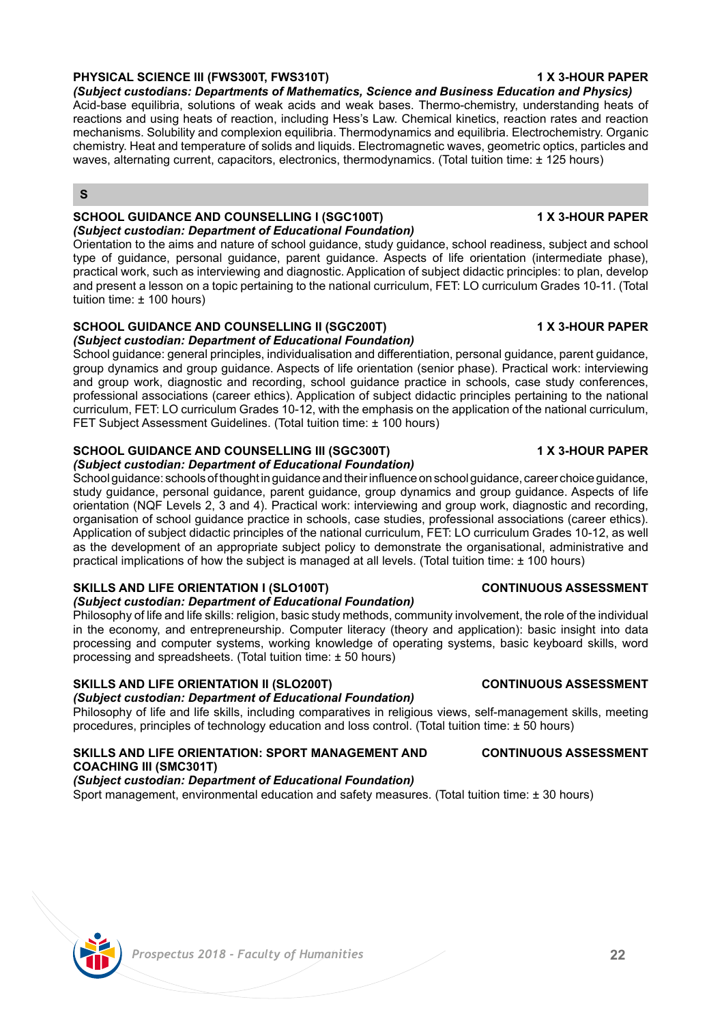## **PHYSICAL SCIENCE III (FWS300T, FWS310T) 1 X 3-HOUR PAPER**

*(Subject custodians: Departments of Mathematics, Science and Business Education and Physics)*

Acid-base equilibria, solutions of weak acids and weak bases. Thermo-chemistry, understanding heats of reactions and using heats of reaction, including Hess's Law. Chemical kinetics, reaction rates and reaction mechanisms. Solubility and complexion equilibria. Thermodynamics and equilibria. Electrochemistry. Organic chemistry. Heat and temperature of solids and liquids. Electromagnetic waves, geometric optics, particles and waves, alternating current, capacitors, electronics, thermodynamics. (Total tuition time: ± 125 hours)

## **S**

### **SCHOOL GUIDANCE AND COUNSELLING I (SGC100T) 1 X 3-HOUR PAPER** *(Subject custodian: Department of Educational Foundation)*

Orientation to the aims and nature of school guidance, study guidance, school readiness, subject and school type of guidance, personal guidance, parent guidance. Aspects of life orientation (intermediate phase), practical work, such as interviewing and diagnostic. Application of subject didactic principles: to plan, develop and present a lesson on a topic pertaining to the national curriculum, FET: LO curriculum Grades 10-11. (Total tuition time: ± 100 hours)

### **SCHOOL GUIDANCE AND COUNSELLING II (SGC200T) 1 X 3-HOUR PAPER** *(Subject custodian: Department of Educational Foundation)*

School guidance: general principles, individualisation and differentiation, personal guidance, parent guidance, group dynamics and group guidance. Aspects of life orientation (senior phase). Practical work: interviewing and group work, diagnostic and recording, school guidance practice in schools, case study conferences, professional associations (career ethics). Application of subject didactic principles pertaining to the national curriculum, FET: LO curriculum Grades 10-12, with the emphasis on the application of the national curriculum, FET Subject Assessment Guidelines. (Total tuition time: ± 100 hours)

## **SCHOOL GUIDANCE AND COUNSELLING III (SGC300T) 1 X 3-HOUR PAPER**

## *(Subject custodian: Department of Educational Foundation)*

School guidance: schools of thought in guidance and their influence on school guidance, career choice guidance, study guidance, personal guidance, parent guidance, group dynamics and group guidance. Aspects of life orientation (NQF Levels 2, 3 and 4). Practical work: interviewing and group work, diagnostic and recording, organisation of school guidance practice in schools, case studies, professional associations (career ethics). Application of subject didactic principles of the national curriculum, FET: LO curriculum Grades 10-12, as well as the development of an appropriate subject policy to demonstrate the organisational, administrative and practical implications of how the subject is managed at all levels. (Total tuition time: ± 100 hours)

## **SKILLS AND LIFE ORIENTATION I (SLO100T) CONTINUOUS ASSESSMENT**

## *(Subject custodian: Department of Educational Foundation)*

Philosophy of life and life skills: religion, basic study methods, community involvement, the role of the individual in the economy, and entrepreneurship. Computer literacy (theory and application): basic insight into data processing and computer systems, working knowledge of operating systems, basic keyboard skills, word processing and spreadsheets. (Total tuition time: ± 50 hours)

## **SKILLS AND LIFE ORIENTATION II (SLO200T) CONTINUOUS ASSESSMENT**

## *(Subject custodian: Department of Educational Foundation)*

Philosophy of life and life skills, including comparatives in religious views, self-management skills, meeting procedures, principles of technology education and loss control. (Total tuition time: ± 50 hours)

## **SKILLS AND LIFE ORIENTATION: SPORT MANAGEMENT AND CONTINUOUS ASSESSMENT COACHING III (SMC301T)**

*(Subject custodian: Department of Educational Foundation)* Sport management, environmental education and safety measures. (Total tuition time: ± 30 hours)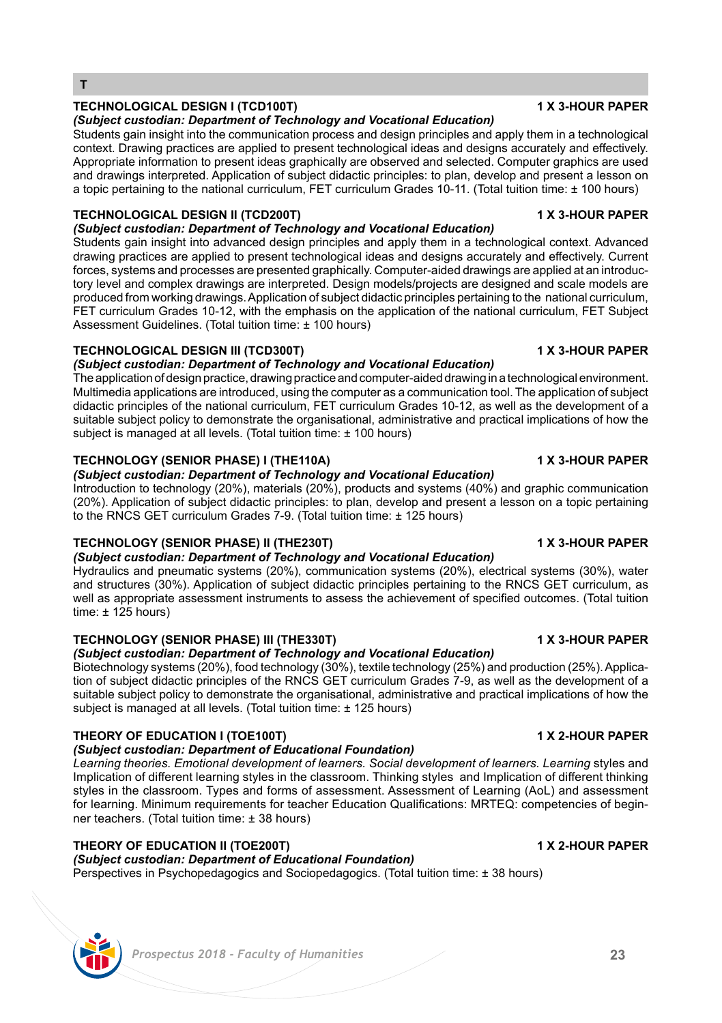## *Prospectus 2018 - Faculty of Humanities* **23**

## **TECHNOLOGICAL DESIGN I (TCD100T) 1 X 3-HOUR PAPER**

**T**

### *(Subject custodian: Department of Technology and Vocational Education)*

Students gain insight into the communication process and design principles and apply them in a technological context. Drawing practices are applied to present technological ideas and designs accurately and effectively. Appropriate information to present ideas graphically are observed and selected. Computer graphics are used and drawings interpreted. Application of subject didactic principles: to plan, develop and present a lesson on a topic pertaining to the national curriculum, FET curriculum Grades 10-11. (Total tuition time: ± 100 hours)

## **TECHNOLOGICAL DESIGN II (TCD200T) 1 X 3-HOUR PAPER**

*(Subject custodian: Department of Technology and Vocational Education)*  Students gain insight into advanced design principles and apply them in a technological context. Advanced drawing practices are applied to present technological ideas and designs accurately and effectively. Current forces, systems and processes are presented graphically. Computer-aided drawings are applied at an introductory level and complex drawings are interpreted. Design models/projects are designed and scale models are produced from working drawings. Application of subject didactic principles pertaining to the national curriculum, FET curriculum Grades 10-12, with the emphasis on the application of the national curriculum, FET Subject

### **TECHNOLOGICAL DESIGN III (TCD300T) 1 X 3-HOUR PAPER**

Assessment Guidelines. (Total tuition time: ± 100 hours)

### *(Subject custodian: Department of Technology and Vocational Education)*

The application of design practice, drawing practice and computer-aided drawing in a technological environment. Multimedia applications are introduced, using the computer as a communication tool. The application of subject didactic principles of the national curriculum, FET curriculum Grades 10-12, as well as the development of a suitable subject policy to demonstrate the organisational, administrative and practical implications of how the subject is managed at all levels. (Total tuition time: ± 100 hours)

### **TECHNOLOGY (SENIOR PHASE) I (THE110A) 1 X 3-HOUR PAPER**

## *(Subject custodian: Department of Technology and Vocational Education)*

Introduction to technology (20%), materials (20%), products and systems (40%) and graphic communication (20%). Application of subject didactic principles: to plan, develop and present a lesson on a topic pertaining to the RNCS GET curriculum Grades 7-9. (Total tuition time: ± 125 hours)

## **TECHNOLOGY (SENIOR PHASE) II (THE230T) 1 X 3-HOUR PAPER**

*(Subject custodian: Department of Technology and Vocational Education)*  Hydraulics and pneumatic systems (20%), communication systems (20%), electrical systems (30%), water and structures (30%). Application of subject didactic principles pertaining to the RNCS GET curriculum, as

well as appropriate assessment instruments to assess the achievement of specified outcomes. (Total tuition time:  $\pm$  125 hours)

## **TECHNOLOGY (SENIOR PHASE) III (THE330T) 1 X 3-HOUR PAPER**

### *(Subject custodian: Department of Technology and Vocational Education)*  Biotechnology systems (20%), food technology (30%), textile technology (25%) and production (25%). Application of subject didactic principles of the RNCS GET curriculum Grades 7-9, as well as the development of a suitable subject policy to demonstrate the organisational, administrative and practical implications of how the subject is managed at all levels. (Total tuition time: ± 125 hours)

## **THEORY OF EDUCATION I (TOE100T) 1 X 2-HOUR PAPER**

### *(Subject custodian: Department of Educational Foundation)*

Learning theories. Emotional development of learners. Social development of learners. Learning styles and Implication of different learning styles in the classroom. Thinking styles and Implication of different thinking styles in the classroom. Types and forms of assessment. Assessment of Learning (AoL) and assessment for learning. Minimum requirements for teacher Education Qualifications: MRTEQ: competencies of beginner teachers. (Total tuition time: ± 38 hours)

## **THEORY OF EDUCATION II (TOE200T) 1 X 2-HOUR PAPER**

Perspectives in Psychopedagogics and Sociopedagogics. (Total tuition time: ± 38 hours)

*(Subject custodian: Department of Educational Foundation)*